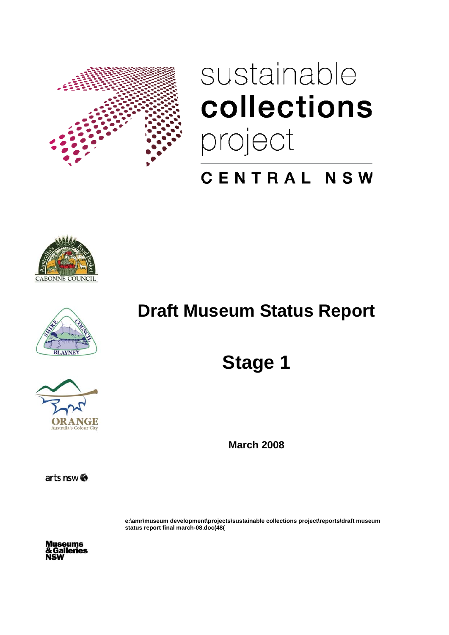

# sustainable collections project

# CENTRAL NSW







# **Draft Museum Status Report**

**Stage 1** 

**March 2008** 

**e:\amr\museum development\projects\sustainable collections project\reports\draft museum status report final march-08.doc(48(**

**iseums** alleries

arts nsw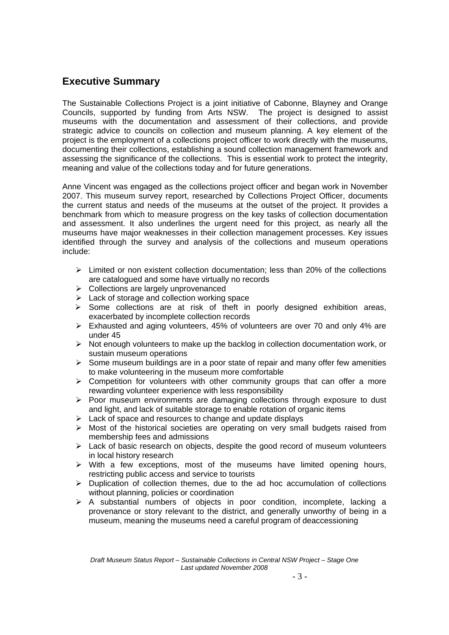## **Executive Summary**

The Sustainable Collections Project is a joint initiative of Cabonne, Blayney and Orange Councils, supported by funding from Arts NSW. The project is designed to assist museums with the documentation and assessment of their collections, and provide strategic advice to councils on collection and museum planning. A key element of the project is the employment of a collections project officer to work directly with the museums, documenting their collections, establishing a sound collection management framework and assessing the significance of the collections. This is essential work to protect the integrity, meaning and value of the collections today and for future generations.

Anne Vincent was engaged as the collections project officer and began work in November 2007. This museum survey report, researched by Collections Project Officer, documents the current status and needs of the museums at the outset of the project. It provides a benchmark from which to measure progress on the key tasks of collection documentation and assessment. It also underlines the urgent need for this project, as nearly all the museums have major weaknesses in their collection management processes. Key issues identified through the survey and analysis of the collections and museum operations include:

- $\triangleright$  Limited or non existent collection documentation: less than 20% of the collections are catalogued and some have virtually no records
- ¾ Collections are largely unprovenanced
- $\triangleright$  Lack of storage and collection working space
- $\triangleright$  Some collections are at risk of theft in poorly designed exhibition areas, exacerbated by incomplete collection records
- ¾ Exhausted and aging volunteers, 45% of volunteers are over 70 and only 4% are under 45
- $\triangleright$  Not enough volunteers to make up the backlog in collection documentation work, or sustain museum operations
- $\triangleright$  Some museum buildings are in a poor state of repair and many offer few amenities to make volunteering in the museum more comfortable
- $\triangleright$  Competition for volunteers with other community groups that can offer a more rewarding volunteer experience with less responsibility
- $\triangleright$  Poor museum environments are damaging collections through exposure to dust and light, and lack of suitable storage to enable rotation of organic items
- $\triangleright$  Lack of space and resources to change and update displays
- $\triangleright$  Most of the historical societies are operating on very small budgets raised from membership fees and admissions
- $\triangleright$  Lack of basic research on objects, despite the good record of museum volunteers in local history research
- $\triangleright$  With a few exceptions, most of the museums have limited opening hours, restricting public access and service to tourists
- $\triangleright$  Duplication of collection themes, due to the ad hoc accumulation of collections without planning, policies or coordination
- $\triangleright$  A substantial numbers of objects in poor condition, incomplete, lacking a provenance or story relevant to the district, and generally unworthy of being in a museum, meaning the museums need a careful program of deaccessioning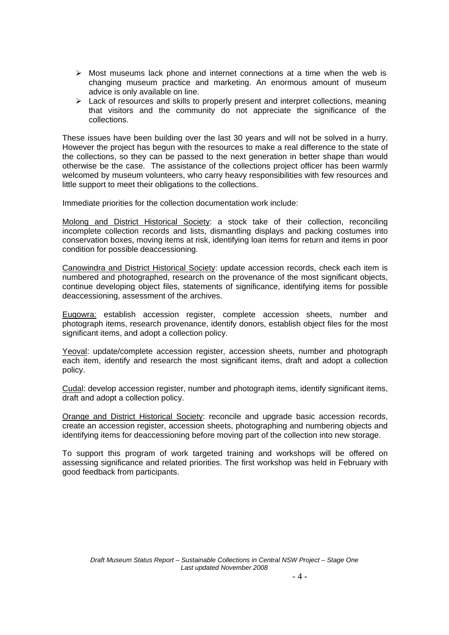- $\triangleright$  Most museums lack phone and internet connections at a time when the web is changing museum practice and marketing. An enormous amount of museum advice is only available on line.
- $\triangleright$  Lack of resources and skills to properly present and interpret collections, meaning that visitors and the community do not appreciate the significance of the collections.

These issues have been building over the last 30 years and will not be solved in a hurry. However the project has begun with the resources to make a real difference to the state of the collections, so they can be passed to the next generation in better shape than would otherwise be the case. The assistance of the collections project officer has been warmly welcomed by museum volunteers, who carry heavy responsibilities with few resources and little support to meet their obligations to the collections.

Immediate priorities for the collection documentation work include:

Molong and District Historical Society: a stock take of their collection, reconciling incomplete collection records and lists, dismantling displays and packing costumes into conservation boxes, moving items at risk, identifying loan items for return and items in poor condition for possible deaccessioning.

Canowindra and District Historical Society: update accession records, check each item is numbered and photographed, research on the provenance of the most significant objects, continue developing object files, statements of significance, identifying items for possible deaccessioning, assessment of the archives.

Eugowra: establish accession register, complete accession sheets, number and photograph items, research provenance, identify donors, establish object files for the most significant items, and adopt a collection policy.

Yeoval: update/complete accession register, accession sheets, number and photograph each item, identify and research the most significant items, draft and adopt a collection policy.

Cudal: develop accession register, number and photograph items, identify significant items, draft and adopt a collection policy.

Orange and District Historical Society: reconcile and upgrade basic accession records, create an accession register, accession sheets, photographing and numbering objects and identifying items for deaccessioning before moving part of the collection into new storage.

To support this program of work targeted training and workshops will be offered on assessing significance and related priorities. The first workshop was held in February with good feedback from participants.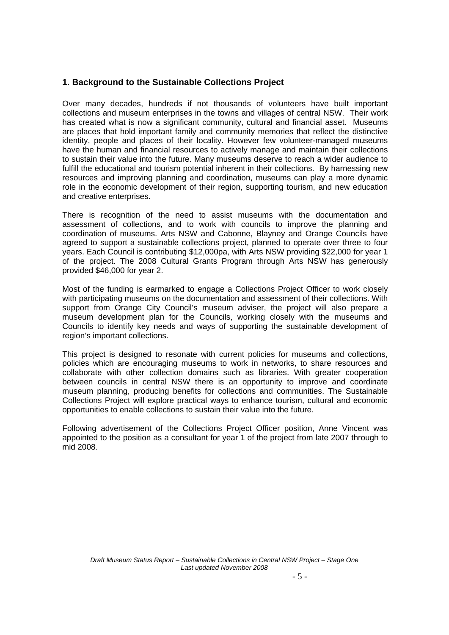## **1. Background to the Sustainable Collections Project**

Over many decades, hundreds if not thousands of volunteers have built important collections and museum enterprises in the towns and villages of central NSW. Their work has created what is now a significant community, cultural and financial asset. Museums are places that hold important family and community memories that reflect the distinctive identity, people and places of their locality. However few volunteer-managed museums have the human and financial resources to actively manage and maintain their collections to sustain their value into the future. Many museums deserve to reach a wider audience to fulfill the educational and tourism potential inherent in their collections. By harnessing new resources and improving planning and coordination, museums can play a more dynamic role in the economic development of their region, supporting tourism, and new education and creative enterprises.

There is recognition of the need to assist museums with the documentation and assessment of collections, and to work with councils to improve the planning and coordination of museums. Arts NSW and Cabonne, Blayney and Orange Councils have agreed to support a sustainable collections project, planned to operate over three to four years. Each Council is contributing \$12,000pa, with Arts NSW providing \$22,000 for year 1 of the project. The 2008 Cultural Grants Program through Arts NSW has generously provided \$46,000 for year 2.

Most of the funding is earmarked to engage a Collections Project Officer to work closely with participating museums on the documentation and assessment of their collections. With support from Orange City Council's museum adviser, the project will also prepare a museum development plan for the Councils, working closely with the museums and Councils to identify key needs and ways of supporting the sustainable development of region's important collections.

This project is designed to resonate with current policies for museums and collections, policies which are encouraging museums to work in networks, to share resources and collaborate with other collection domains such as libraries. With greater cooperation between councils in central NSW there is an opportunity to improve and coordinate museum planning, producing benefits for collections and communities. The Sustainable Collections Project will explore practical ways to enhance tourism, cultural and economic opportunities to enable collections to sustain their value into the future.

Following advertisement of the Collections Project Officer position, Anne Vincent was appointed to the position as a consultant for year 1 of the project from late 2007 through to mid 2008.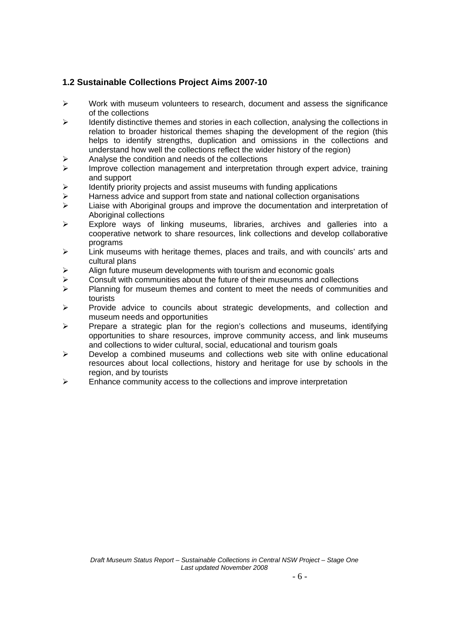## **1.2 Sustainable Collections Project Aims 2007-10**

- ¾ Work with museum volunteers to research, document and assess the significance of the collections
- $\triangleright$  Identify distinctive themes and stories in each collection, analysing the collections in relation to broader historical themes shaping the development of the region (this helps to identify strengths, duplication and omissions in the collections and understand how well the collections reflect the wider history of the region)
- $\triangleright$  Analyse the condition and needs of the collections
- ¾ Improve collection management and interpretation through expert advice, training and support
- $\triangleright$  Identify priority projects and assist museums with funding applications
- $\triangleright$  Harness advice and support from state and national collection organisations
- $\triangleright$  Liaise with Aboriginal groups and improve the documentation and interpretation of Aboriginal collections
- $\geq$  Explore ways of linking museums, libraries, archives and galleries into a cooperative network to share resources, link collections and develop collaborative programs
- $\triangleright$  Link museums with heritage themes, places and trails, and with councils' arts and cultural plans
- $\triangleright$  Align future museum developments with tourism and economic goals
- $\geq$  Consult with communities about the future of their museums and collections
- $\triangleright$  Planning for museum themes and content to meet the needs of communities and tourists
- ¾ Provide advice to councils about strategic developments, and collection and museum needs and opportunities
- Prepare a strategic plan for the region's collections and museums, identifying opportunities to share resources, improve community access, and link museums and collections to wider cultural, social, educational and tourism goals
- $\triangleright$  Develop a combined museums and collections web site with online educational resources about local collections, history and heritage for use by schools in the region, and by tourists
- $\triangleright$  Enhance community access to the collections and improve interpretation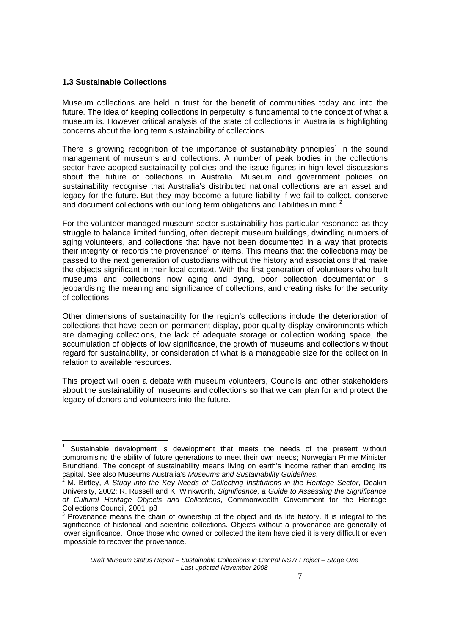## **1.3 Sustainable Collections**

-

Museum collections are held in trust for the benefit of communities today and into the future. The idea of keeping collections in perpetuity is fundamental to the concept of what a museum is. However critical analysis of the state of collections in Australia is highlighting concerns about the long term sustainability of collections.

There is growing recognition of the importance of sustainability principles<sup>1</sup> in the sound management of museums and collections. A number of peak bodies in the collections sector have adopted sustainability policies and the issue figures in high level discussions about the future of collections in Australia. Museum and government policies on sustainability recognise that Australia's distributed national collections are an asset and legacy for the future. But they may become a future liability if we fail to collect, conserve and document collections with our long term obligations and liabilities in mind. $2$ 

For the volunteer-managed museum sector sustainability has particular resonance as they struggle to balance limited funding, often decrepit museum buildings, dwindling numbers of aging volunteers, and collections that have not been documented in a way that protects their integrity or records the provenance<sup>3</sup> of items. This means that the collections may be passed to the next generation of custodians without the history and associations that make the objects significant in their local context. With the first generation of volunteers who built museums and collections now aging and dying, poor collection documentation is jeopardising the meaning and significance of collections, and creating risks for the security of collections.

Other dimensions of sustainability for the region's collections include the deterioration of collections that have been on permanent display, poor quality display environments which are damaging collections, the lack of adequate storage or collection working space, the accumulation of objects of low significance, the growth of museums and collections without regard for sustainability, or consideration of what is a manageable size for the collection in relation to available resources.

This project will open a debate with museum volunteers, Councils and other stakeholders about the sustainability of museums and collections so that we can plan for and protect the legacy of donors and volunteers into the future.

<sup>1</sup> Sustainable development is development that meets the needs of the present without compromising the ability of future generations to meet their own needs; Norwegian Prime Minister Brundtland. The concept of sustainability means living on earth's income rather than eroding its capital. See also Museums Australia's *Museums and Sustainability Guidelines*.

<sup>&</sup>lt;sup>2</sup> M. Birtley. A Study into the Key Needs of Collecting Institutions in the Heritage Sector, Deakin University, 2002; R. Russell and K. Winkworth, *Significance, a Guide to Assessing the Significance of Cultural Heritage Objects and Collections*, Commonwealth Government for the Heritage Collections Council, 2001, p8

<sup>3</sup> Provenance means the chain of ownership of the object and its life history. It is integral to the significance of historical and scientific collections. Objects without a provenance are generally of lower significance. Once those who owned or collected the item have died it is very difficult or even impossible to recover the provenance.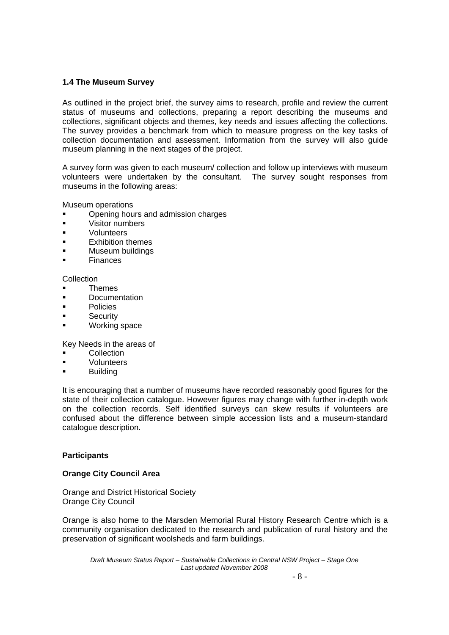## **1.4 The Museum Survey**

As outlined in the project brief, the survey aims to research, profile and review the current status of museums and collections, preparing a report describing the museums and collections, significant objects and themes, key needs and issues affecting the collections. The survey provides a benchmark from which to measure progress on the key tasks of collection documentation and assessment. Information from the survey will also guide museum planning in the next stages of the project.

A survey form was given to each museum/ collection and follow up interviews with museum volunteers were undertaken by the consultant. The survey sought responses from museums in the following areas:

Museum operations

- Opening hours and admission charges
- **visitor numbers**
- **volunteers**
- Exhibition themes
- Museum buildings
- **Finances**

Collection

- **Themes**
- **Documentation**
- **Policies**
- **Security**
- Working space

Key Needs in the areas of

- **Collection**
- Volunteers
- **Building**

It is encouraging that a number of museums have recorded reasonably good figures for the state of their collection catalogue. However figures may change with further in-depth work on the collection records. Self identified surveys can skew results if volunteers are confused about the difference between simple accession lists and a museum-standard catalogue description.

#### **Participants**

#### **Orange City Council Area**

Orange and District Historical Society Orange City Council

Orange is also home to the Marsden Memorial Rural History Research Centre which is a community organisation dedicated to the research and publication of rural history and the preservation of significant woolsheds and farm buildings.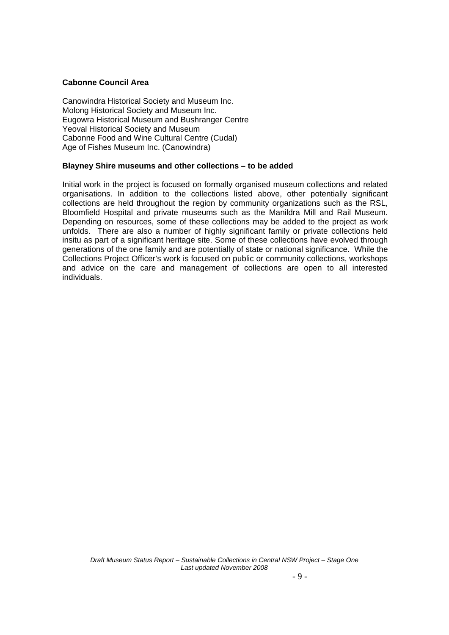### **Cabonne Council Area**

Canowindra Historical Society and Museum Inc. Molong Historical Society and Museum Inc. Eugowra Historical Museum and Bushranger Centre Yeoval Historical Society and Museum Cabonne Food and Wine Cultural Centre (Cudal) Age of Fishes Museum Inc. (Canowindra)

## **Blayney Shire museums and other collections – to be added**

Initial work in the project is focused on formally organised museum collections and related organisations. In addition to the collections listed above, other potentially significant collections are held throughout the region by community organizations such as the RSL, Bloomfield Hospital and private museums such as the Manildra Mill and Rail Museum. Depending on resources, some of these collections may be added to the project as work unfolds. There are also a number of highly significant family or private collections held insitu as part of a significant heritage site. Some of these collections have evolved through generations of the one family and are potentially of state or national significance. While the Collections Project Officer's work is focused on public or community collections, workshops and advice on the care and management of collections are open to all interested individuals.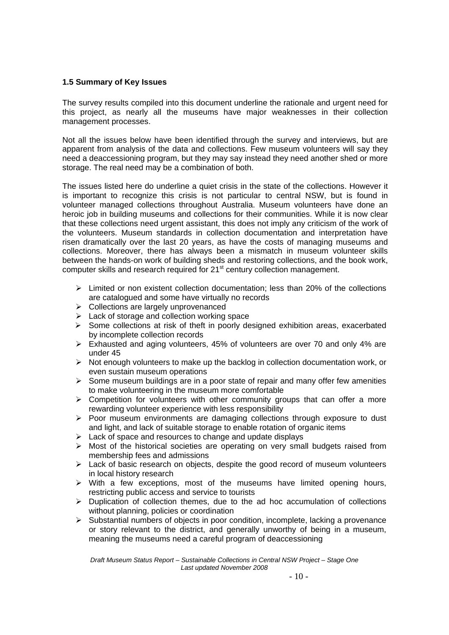## **1.5 Summary of Key Issues**

The survey results compiled into this document underline the rationale and urgent need for this project, as nearly all the museums have major weaknesses in their collection management processes.

Not all the issues below have been identified through the survey and interviews, but are apparent from analysis of the data and collections. Few museum volunteers will say they need a deaccessioning program, but they may say instead they need another shed or more storage. The real need may be a combination of both.

The issues listed here do underline a quiet crisis in the state of the collections. However it is important to recognize this crisis is not particular to central NSW, but is found in volunteer managed collections throughout Australia. Museum volunteers have done an heroic job in building museums and collections for their communities. While it is now clear that these collections need urgent assistant, this does not imply any criticism of the work of the volunteers. Museum standards in collection documentation and interpretation have risen dramatically over the last 20 years, as have the costs of managing museums and collections. Moreover, there has always been a mismatch in museum volunteer skills between the hands-on work of building sheds and restoring collections, and the book work, computer skills and research required for 21<sup>st</sup> century collection management.

- $\geq$  Limited or non existent collection documentation; less than 20% of the collections are catalogued and some have virtually no records
- $\triangleright$  Collections are largely unprovenanced
- $\triangleright$  Lack of storage and collection working space
- $\triangleright$  Some collections at risk of theft in poorly designed exhibition areas, exacerbated by incomplete collection records
- $\triangleright$  Exhausted and aging volunteers, 45% of volunteers are over 70 and only 4% are under 45
- $\triangleright$  Not enough volunteers to make up the backlog in collection documentation work, or even sustain museum operations
- $\triangleright$  Some museum buildings are in a poor state of repair and many offer few amenities to make volunteering in the museum more comfortable
- $\triangleright$  Competition for volunteers with other community groups that can offer a more rewarding volunteer experience with less responsibility
- $\triangleright$  Poor museum environments are damaging collections through exposure to dust and light, and lack of suitable storage to enable rotation of organic items
- $\triangleright$  Lack of space and resources to change and update displays
- $\triangleright$  Most of the historical societies are operating on very small budgets raised from membership fees and admissions
- $\triangleright$  Lack of basic research on objects, despite the good record of museum volunteers in local history research
- $\triangleright$  With a few exceptions, most of the museums have limited opening hours, restricting public access and service to tourists
- $\triangleright$  Duplication of collection themes, due to the ad hoc accumulation of collections without planning, policies or coordination
- $\triangleright$  Substantial numbers of objects in poor condition, incomplete, lacking a provenance or story relevant to the district, and generally unworthy of being in a museum, meaning the museums need a careful program of deaccessioning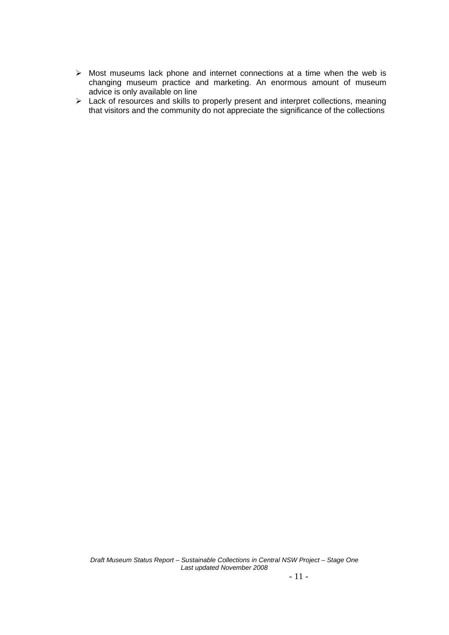- $\triangleright$  Most museums lack phone and internet connections at a time when the web is changing museum practice and marketing. An enormous amount of museum advice is only available on line
- ¾ Lack of resources and skills to properly present and interpret collections, meaning that visitors and the community do not appreciate the significance of the collections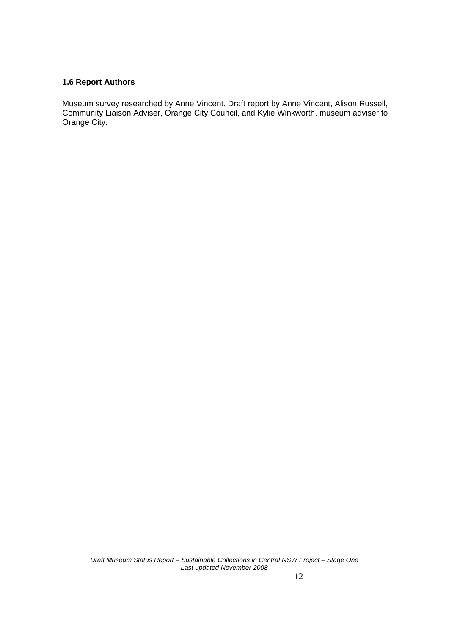## **1.6 Report Authors**

Museum survey researched by Anne Vincent. Draft report by Anne Vincent, Alison Russell, Community Liaison Adviser, Orange City Council, and Kylie Winkworth, museum adviser to Orange City.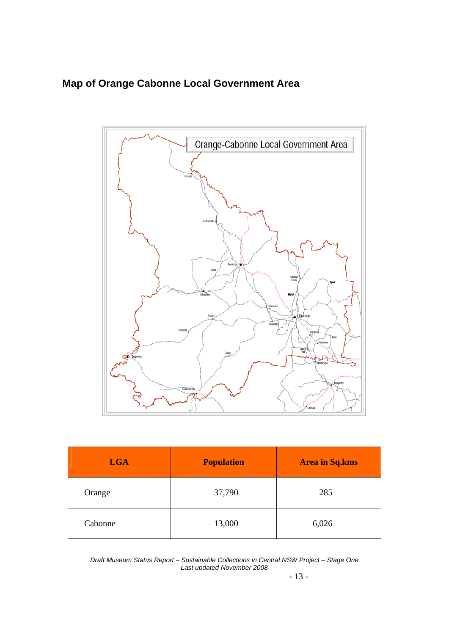## **Map of Orange Cabonne Local Government Area**



| <b>LGA</b> | <b>Population</b> | <b>Area in Sq.kms</b> |
|------------|-------------------|-----------------------|
| Orange     | 37,790            | 285                   |
| Cabonne    | 13,000            | 6,026                 |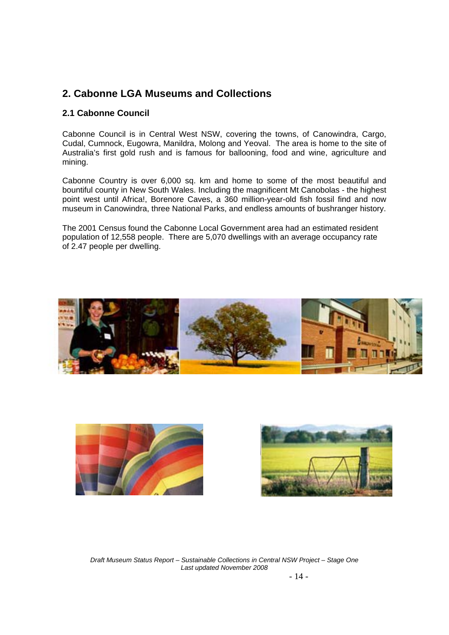## **2. Cabonne LGA Museums and Collections**

## **2.1 Cabonne Council**

Cabonne Council is in Central West NSW, covering the towns, of Canowindra, Cargo, Cudal, Cumnock, Eugowra, Manildra, Molong and Yeoval. The area is home to the site of Australia's first gold rush and is famous for ballooning, food and wine, agriculture and mining.

Cabonne Country is over 6,000 sq. km and home to some of the most beautiful and bountiful county in New South Wales. Including the magnificent Mt Canobolas - the highest point west until Africa!, Borenore Caves, a 360 million-year-old fish fossil find and now museum in Canowindra, three National Parks, and endless amounts of bushranger history.

The 2001 Census found the Cabonne Local Government area had an estimated resident population of 12,558 people. There are 5,070 dwellings with an average occupancy rate of 2.47 people per dwelling.





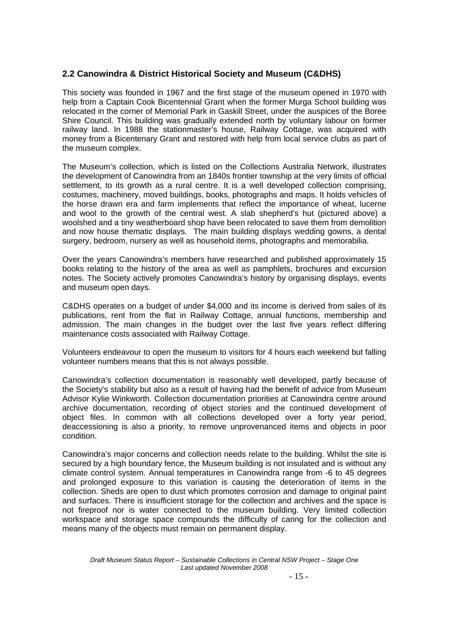## **2.2 Canowindra & District Historical Society and Museum (C&DHS)**

This society was founded in 1967 and the first stage of the museum opened in 1970 with help from a Captain Cook Bicentennial Grant when the former Murga School building was relocated in the corner of Memorial Park in Gaskill Street, under the auspices of the Boree Shire Council. This building was gradually extended north by voluntary labour on former railway land. In 1988 the stationmaster's house, Railway Cottage, was acquired with money from a Bicentenary Grant and restored with help from local service clubs as part of the museum complex.

The Museum's collection, which is listed on the Collections Australia Network, illustrates the development of Canowindra from an 1840s frontier township at the very limits of official settlement, to its growth as a rural centre. It is a well developed collection comprising, costumes, machinery, moved buildings, books, photographs and maps. It holds vehicles of the horse drawn era and farm implements that reflect the importance of wheat, lucerne and wool to the growth of the central west. A slab shepherd's hut (pictured above) a woolshed and a tiny weatherboard shop have been relocated to save them from demolition and now house thematic displays. The main building displays wedding gowns, a dental surgery, bedroom, nursery as well as household items, photographs and memorabilia.

Over the years Canowindra's members have researched and published approximately 15 books relating to the history of the area as well as pamphlets, brochures and excursion notes. The Society actively promotes Canowindra's history by organising displays, events and museum open days.

C&DHS operates on a budget of under \$4,000 and its income is derived from sales of its publications, rent from the flat in Railway Cottage, annual functions, membership and admission. The main changes in the budget over the last five years reflect differing maintenance costs associated with Railway Cottage.

Volunteers endeavour to open the museum to visitors for 4 hours each weekend but falling volunteer numbers means that this is not always possible.

Canowindra's collection documentation is reasonably well developed, partly because of the Society's stability but also as a result of having had the benefit of advice from Museum Advisor Kylie Winkworth. Collection documentation priorities at Canowindra centre around archive documentation, recording of object stories and the continued development of object files. In common with all collections developed over a forty year period, deaccessioning is also a priority, to remove unprovenanced items and objects in poor condition.

Canowindra's major concerns and collection needs relate to the building. Whilst the site is secured by a high boundary fence, the Museum building is not insulated and is without any climate control system. Annual temperatures in Canowindra range from -6 to 45 degrees and prolonged exposure to this variation is causing the deterioration of items in the collection. Sheds are open to dust which promotes corrosion and damage to original paint and surfaces. There is insufficient storage for the collection and archives and the space is not fireproof nor is water connected to the museum building. Very limited collection workspace and storage space compounds the difficulty of caring for the collection and means many of the objects must remain on permanent display.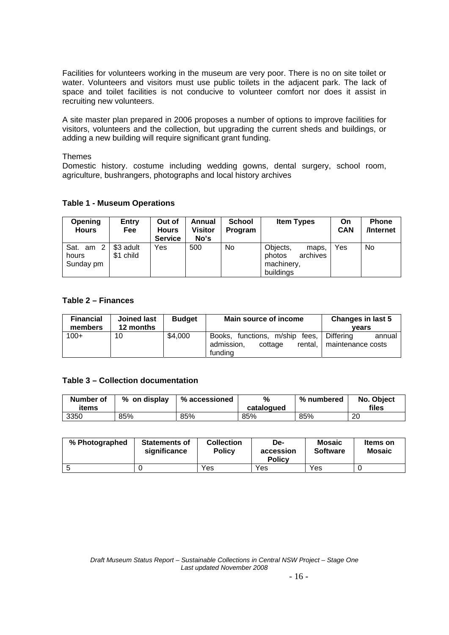Facilities for volunteers working in the museum are very poor. There is no on site toilet or water. Volunteers and visitors must use public toilets in the adjacent park. The lack of space and toilet facilities is not conducive to volunteer comfort nor does it assist in recruiting new volunteers.

A site master plan prepared in 2006 proposes a number of options to improve facilities for visitors, volunteers and the collection, but upgrading the current sheds and buildings, or adding a new building will require significant grant funding.

#### Themes

Domestic history. costume including wedding gowns, dental surgery, school room, agriculture, bushrangers, photographs and local history archives

#### **Table 1 - Museum Operations**

| <b>Opening</b><br><b>Hours</b>  | Entry<br><b>Fee</b>    | Out of<br><b>Hours</b><br><b>Service</b> | Annual<br>Visitor<br>No's | <b>School</b><br><b>Program</b> | <b>Item Types</b>                                                  | On<br><b>CAN</b> | <b>Phone</b><br>/Internet |
|---------------------------------|------------------------|------------------------------------------|---------------------------|---------------------------------|--------------------------------------------------------------------|------------------|---------------------------|
| Sat. am 2<br>hours<br>Sunday pm | \$3 adult<br>\$1 child | Yes                                      | 500                       | No.                             | Objects,<br>maps,<br>archives<br>photos<br>machinery,<br>buildings | Yes              | <b>No</b>                 |

## **Table 2 – Finances**

| <b>Financial</b><br>members | Joined last<br>12 months | <b>Budget</b> | Main source of income                                                            | Changes in last 5<br>vears                      |
|-----------------------------|--------------------------|---------------|----------------------------------------------------------------------------------|-------------------------------------------------|
| $100+$                      | 10                       | \$4,000       | Books, functions, m/ship<br>fees.<br>admission,<br>rental.<br>cottage<br>fundina | <b>Differing</b><br>annual<br>maintenance costs |

## **Table 3 – Collection documentation**

| Number of<br>items | % on display | % accessioned | %<br>catalogued | % numbered | No. Object<br>files |
|--------------------|--------------|---------------|-----------------|------------|---------------------|
| 3350               | 85%          | 85%           | 85%             | 85%        | 20                  |

| % Photographed | <b>Statements of</b><br>significance | <b>Collection</b><br><b>Policy</b> | De-<br>accession<br><b>Policy</b> | <b>Mosaic</b><br><b>Software</b> | <b>Items on</b><br><b>Mosaic</b> |
|----------------|--------------------------------------|------------------------------------|-----------------------------------|----------------------------------|----------------------------------|
|                |                                      | Yes                                | Yes                               | Yes                              |                                  |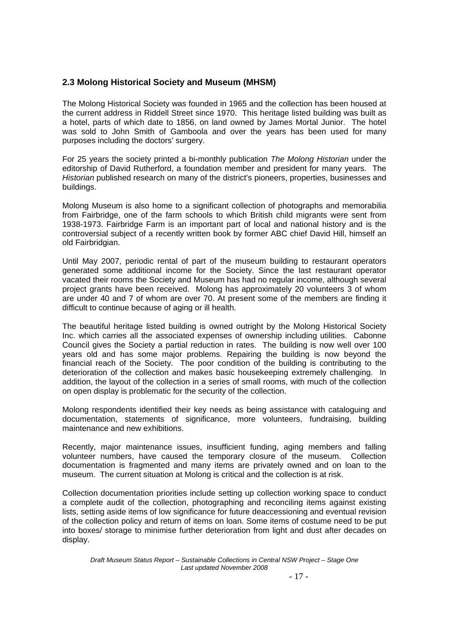## **2.3 Molong Historical Society and Museum (MHSM)**

The Molong Historical Society was founded in 1965 and the collection has been housed at the current address in Riddell Street since 1970. This heritage listed building was built as a hotel, parts of which date to 1856, on land owned by James Mortal Junior. The hotel was sold to John Smith of Gamboola and over the years has been used for many purposes including the doctors' surgery.

For 25 years the society printed a bi-monthly publication *The Molong Historian* under the editorship of David Rutherford, a foundation member and president for many years. The *Historian* published research on many of the district's pioneers, properties, businesses and buildings.

Molong Museum is also home to a significant collection of photographs and memorabilia from Fairbridge, one of the farm schools to which British child migrants were sent from 1938-1973. Fairbridge Farm is an important part of local and national history and is the controversial subject of a recently written book by former ABC chief David Hill, himself an old Fairbridgian.

Until May 2007, periodic rental of part of the museum building to restaurant operators generated some additional income for the Society. Since the last restaurant operator vacated their rooms the Society and Museum has had no regular income, although several project grants have been received. Molong has approximately 20 volunteers 3 of whom are under 40 and 7 of whom are over 70. At present some of the members are finding it difficult to continue because of aging or ill health.

The beautiful heritage listed building is owned outright by the Molong Historical Society Inc. which carries all the associated expenses of ownership including utilities. Cabonne Council gives the Society a partial reduction in rates. The building is now well over 100 years old and has some major problems. Repairing the building is now beyond the financial reach of the Society. The poor condition of the building is contributing to the deterioration of the collection and makes basic housekeeping extremely challenging. In addition, the layout of the collection in a series of small rooms, with much of the collection on open display is problematic for the security of the collection.

Molong respondents identified their key needs as being assistance with cataloguing and documentation, statements of significance, more volunteers, fundraising, building maintenance and new exhibitions.

Recently, major maintenance issues, insufficient funding, aging members and falling volunteer numbers, have caused the temporary closure of the museum. Collection documentation is fragmented and many items are privately owned and on loan to the museum. The current situation at Molong is critical and the collection is at risk.

Collection documentation priorities include setting up collection working space to conduct a complete audit of the collection, photographing and reconciling items against existing lists, setting aside items of low significance for future deaccessioning and eventual revision of the collection policy and return of items on loan. Some items of costume need to be put into boxes/ storage to minimise further deterioration from light and dust after decades on display.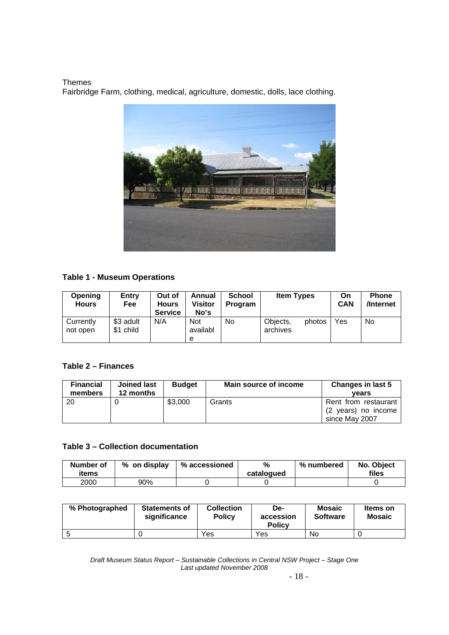Themes Fairbridge Farm, clothing, medical, agriculture, domestic, dolls, lace clothing.



## **Table 1 - Museum Operations**

| Opening<br><b>Hours</b> | Entry<br>Fee           | Out of<br>Hours<br><b>Service</b> | Annual<br>Visitor<br>No's   | <b>School</b><br>Program | <b>Item Types</b>    |        | On<br>CAN | <b>Phone</b><br>/Internet |
|-------------------------|------------------------|-----------------------------------|-----------------------------|--------------------------|----------------------|--------|-----------|---------------------------|
| Currently<br>not open   | \$3 adult<br>\$1 child | N/A                               | <b>Not</b><br>availabl<br>e | No                       | Objects,<br>archives | photos | Yes.      | No                        |

## **Table 2 – Finances**

| <b>Financial</b><br>members | <b>Joined last</b><br>12 months | <b>Budget</b> | Main source of income | <b>Changes in last 5</b><br>vears                             |
|-----------------------------|---------------------------------|---------------|-----------------------|---------------------------------------------------------------|
| 20                          |                                 | \$3.000       | Grants                | Rent from restaurant<br>(2 years) no income<br>since May 2007 |

## **Table 3 – Collection documentation**

| Number of<br>items | % on display | % accessioned | %<br>catalogued | % numbered | No. Object<br>files |
|--------------------|--------------|---------------|-----------------|------------|---------------------|
| 2000               | 90%          |               |                 |            |                     |

| % Photographed | <b>Statements of</b><br>significance | <b>Collection</b><br><b>Policy</b> | De-<br>accession<br><b>Policy</b> | <b>Mosaic</b><br><b>Software</b> | Items on<br><b>Mosaic</b> |
|----------------|--------------------------------------|------------------------------------|-----------------------------------|----------------------------------|---------------------------|
|                |                                      | Yes                                | Yes                               | No                               |                           |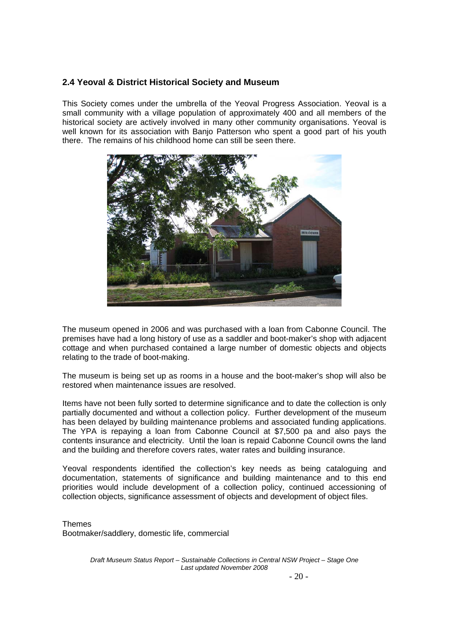## **2.4 Yeoval & District Historical Society and Museum**

This Society comes under the umbrella of the Yeoval Progress Association. Yeoval is a small community with a village population of approximately 400 and all members of the historical society are actively involved in many other community organisations. Yeoval is well known for its association with Banjo Patterson who spent a good part of his youth there. The remains of his childhood home can still be seen there.



The museum opened in 2006 and was purchased with a loan from Cabonne Council. The premises have had a long history of use as a saddler and boot-maker's shop with adjacent cottage and when purchased contained a large number of domestic objects and objects relating to the trade of boot-making.

The museum is being set up as rooms in a house and the boot-maker's shop will also be restored when maintenance issues are resolved.

Items have not been fully sorted to determine significance and to date the collection is only partially documented and without a collection policy. Further development of the museum has been delayed by building maintenance problems and associated funding applications. The YPA is repaying a loan from Cabonne Council at \$7,500 pa and also pays the contents insurance and electricity. Until the loan is repaid Cabonne Council owns the land and the building and therefore covers rates, water rates and building insurance.

Yeoval respondents identified the collection's key needs as being cataloguing and documentation, statements of significance and building maintenance and to this end priorities would include development of a collection policy, continued accessioning of collection objects, significance assessment of objects and development of object files.

**Themes** Bootmaker/saddlery, domestic life, commercial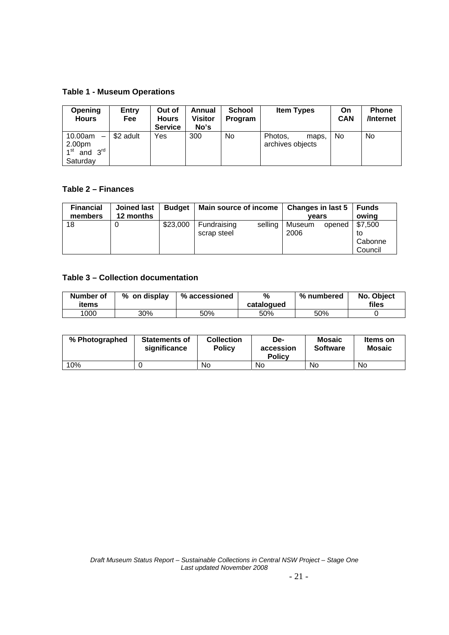## **Table 1 - Museum Operations**

| <b>Opening</b><br><b>Hours</b>                                                                        | Entry<br><b>Fee</b> | Out of<br><b>Hours</b><br><b>Service</b> | Annual<br><b>Visitor</b><br>No's | <b>School</b><br><b>Program</b> | <b>Item Types</b>                    | On<br><b>CAN</b> | <b>Phone</b><br>/Internet |
|-------------------------------------------------------------------------------------------------------|---------------------|------------------------------------------|----------------------------------|---------------------------------|--------------------------------------|------------------|---------------------------|
| 10.00am<br>$\overline{\phantom{0}}$<br>$2.00pm$<br>1 <sup>st</sup> and<br>$3^{\text{rd}}$<br>Saturday | \$2 adult           | Yes                                      | 300                              | No                              | Photos.<br>maps,<br>archives objects | No               | No.                       |

## **Table 2 – Finances**

| <b>Financial</b><br>members | Joined last<br>12 months | <b>Budget</b> | Main source of income      |         | Changes in last 5<br>vears |        | Funds<br>owing                      |
|-----------------------------|--------------------------|---------------|----------------------------|---------|----------------------------|--------|-------------------------------------|
| 18                          | 0                        | \$23,000      | Fundraising<br>scrap steel | selling | Museum<br>2006             | opened | \$7,500<br>to<br>Cabonne<br>Council |

## **Table 3 – Collection documentation**

| Number of<br>items | % on display | % accessioned | %<br>catalogued | % numbered | No. Object<br>files |
|--------------------|--------------|---------------|-----------------|------------|---------------------|
| 1000               | 30%          | 50%           | 50%             | 50%        |                     |

| % Photographed | <b>Statements of</b><br>significance | <b>Collection</b><br><b>Policy</b> | De-<br>accession<br><b>Policy</b> | <b>Mosaic</b><br><b>Software</b> | Items on<br><b>Mosaic</b> |
|----------------|--------------------------------------|------------------------------------|-----------------------------------|----------------------------------|---------------------------|
| 10%            |                                      | No                                 | No                                | No                               | No                        |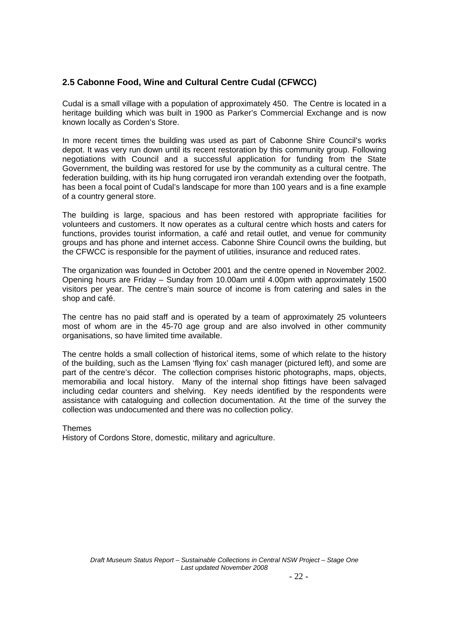## **2.5 Cabonne Food, Wine and Cultural Centre Cudal (CFWCC)**

Cudal is a small village with a population of approximately 450. The Centre is located in a heritage building which was built in 1900 as Parker's Commercial Exchange and is now known locally as Corden's Store.

In more recent times the building was used as part of Cabonne Shire Council's works depot. It was very run down until its recent restoration by this community group. Following negotiations with Council and a successful application for funding from the State Government, the building was restored for use by the community as a cultural centre. The federation building, with its hip hung corrugated iron verandah extending over the footpath, has been a focal point of Cudal's landscape for more than 100 years and is a fine example of a country general store.

The building is large, spacious and has been restored with appropriate facilities for volunteers and customers. It now operates as a cultural centre which hosts and caters for functions, provides tourist information, a café and retail outlet, and venue for community groups and has phone and internet access. Cabonne Shire Council owns the building, but the CFWCC is responsible for the payment of utilities, insurance and reduced rates.

The organization was founded in October 2001 and the centre opened in November 2002. Opening hours are Friday – Sunday from 10.00am until 4.00pm with approximately 1500 visitors per year. The centre's main source of income is from catering and sales in the shop and café.

The centre has no paid staff and is operated by a team of approximately 25 volunteers most of whom are in the 45-70 age group and are also involved in other community organisations, so have limited time available.

The centre holds a small collection of historical items, some of which relate to the history of the building, such as the Lamsen 'flying fox' cash manager (pictured left), and some are part of the centre's décor. The collection comprises historic photographs, maps, objects, memorabilia and local history. Many of the internal shop fittings have been salvaged including cedar counters and shelving. Key needs identified by the respondents were assistance with cataloguing and collection documentation. At the time of the survey the collection was undocumented and there was no collection policy.

**Themes** History of Cordons Store, domestic, military and agriculture.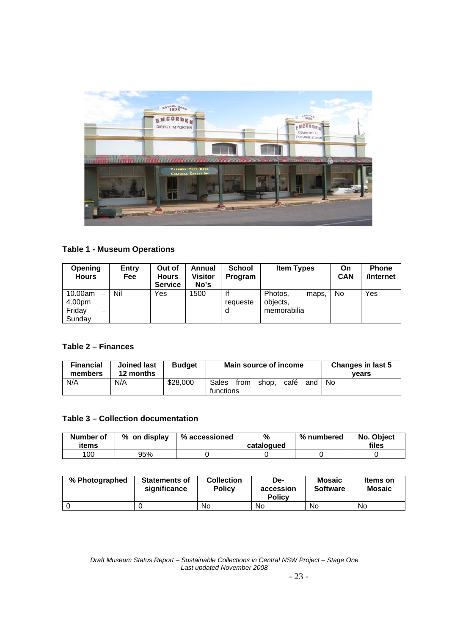

## **Table 1 - Museum Operations**

| <b>Opening</b><br><b>Hours</b>                           | <b>Entry</b><br>Fee | Out of<br><b>Hours</b><br><b>Service</b> | Annual<br>Visitor<br>No's | <b>School</b><br>Program | <b>Item Types</b>                           | On<br><b>CAN</b> | <b>Phone</b><br>/Internet |
|----------------------------------------------------------|---------------------|------------------------------------------|---------------------------|--------------------------|---------------------------------------------|------------------|---------------------------|
| 10.00am<br>$\qquad \qquad$<br>4.00pm<br>Friday<br>Sundav | Nil                 | Yes                                      | 1500                      | lf<br>requeste<br>d      | Photos,<br>maps.<br>objects,<br>memorabilia | No               | Yes                       |

## **Table 2 – Finances**

| <b>Financial</b><br>members | <b>Joined last</b><br>12 months | <b>Budget</b> | Main source of income                              | <b>Changes in last 5</b><br>vears |
|-----------------------------|---------------------------------|---------------|----------------------------------------------------|-----------------------------------|
| N/A                         | N/A                             | \$28,000      | Sales<br>café<br>from<br>shop,<br>and<br>functions | No.                               |

## **Table 3 – Collection documentation**

| Number of<br>items | % on display | % accessioned | %<br>catalogued | % numbered | No. Object<br>files |
|--------------------|--------------|---------------|-----------------|------------|---------------------|
| 100                | 95%          |               |                 |            |                     |

| % Photographed | <b>Statements of</b><br>significance | <b>Collection</b><br><b>Policy</b> | De-<br>accession<br><b>Policy</b> | <b>Mosaic</b><br><b>Software</b> | Items on<br><b>Mosaic</b> |
|----------------|--------------------------------------|------------------------------------|-----------------------------------|----------------------------------|---------------------------|
|                |                                      | No                                 | No                                | No                               | No                        |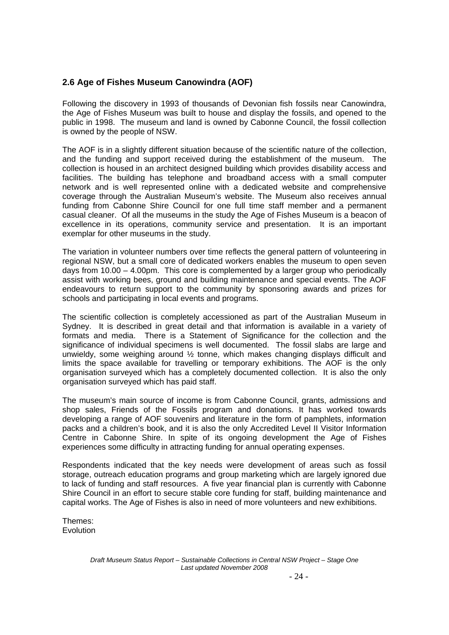## **2.6 Age of Fishes Museum Canowindra (AOF)**

Following the discovery in 1993 of thousands of Devonian fish fossils near Canowindra, the Age of Fishes Museum was built to house and display the fossils, and opened to the public in 1998. The museum and land is owned by Cabonne Council, the fossil collection is owned by the people of NSW.

The AOF is in a slightly different situation because of the scientific nature of the collection, and the funding and support received during the establishment of the museum. The collection is housed in an architect designed building which provides disability access and facilities. The building has telephone and broadband access with a small computer network and is well represented online with a dedicated website and comprehensive coverage through the Australian Museum's website. The Museum also receives annual funding from Cabonne Shire Council for one full time staff member and a permanent casual cleaner. Of all the museums in the study the Age of Fishes Museum is a beacon of excellence in its operations, community service and presentation. It is an important exemplar for other museums in the study.

The variation in volunteer numbers over time reflects the general pattern of volunteering in regional NSW, but a small core of dedicated workers enables the museum to open seven days from 10.00 – 4.00pm. This core is complemented by a larger group who periodically assist with working bees, ground and building maintenance and special events. The AOF endeavours to return support to the community by sponsoring awards and prizes for schools and participating in local events and programs.

The scientific collection is completely accessioned as part of the Australian Museum in Sydney. It is described in great detail and that information is available in a variety of formats and media. There is a Statement of Significance for the collection and the significance of individual specimens is well documented. The fossil slabs are large and unwieldy, some weighing around ½ tonne, which makes changing displays difficult and limits the space available for travelling or temporary exhibitions. The AOF is the only organisation surveyed which has a completely documented collection. It is also the only organisation surveyed which has paid staff.

The museum's main source of income is from Cabonne Council, grants, admissions and shop sales, Friends of the Fossils program and donations. It has worked towards developing a range of AOF souvenirs and literature in the form of pamphlets, information packs and a children's book, and it is also the only Accredited Level II Visitor Information Centre in Cabonne Shire. In spite of its ongoing development the Age of Fishes experiences some difficulty in attracting funding for annual operating expenses.

Respondents indicated that the key needs were development of areas such as fossil storage, outreach education programs and group marketing which are largely ignored due to lack of funding and staff resources. A five year financial plan is currently with Cabonne Shire Council in an effort to secure stable core funding for staff, building maintenance and capital works. The Age of Fishes is also in need of more volunteers and new exhibitions.

Themes: **Evolution**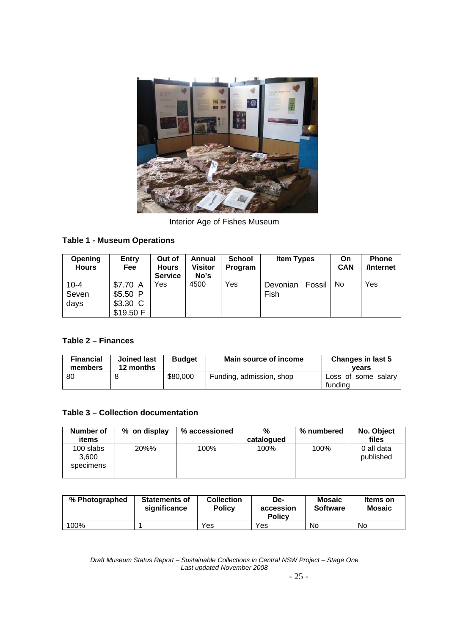

Interior Age of Fishes Museum

## **Table 1 - Museum Operations**

| Opening<br><b>Hours</b>   | <b>Entry</b><br><b>Fee</b>          | Out of<br><b>Hours</b><br><b>Service</b> | Annual<br>Visitor<br>No's | <b>School</b><br><b>Program</b> | <b>Item Types</b>          | On<br><b>CAN</b> | <b>Phone</b><br>/Internet |
|---------------------------|-------------------------------------|------------------------------------------|---------------------------|---------------------------------|----------------------------|------------------|---------------------------|
| $10 - 4$<br>Seven<br>days | \$7.70 A<br>\$5.50<br>P<br>\$3.30 C | Yes                                      | 4500                      | Yes                             | Devonian<br>Fossil<br>Fish | No               | Yes                       |
|                           | \$19.50 F                           |                                          |                           |                                 |                            |                  |                           |

## **Table 2 – Finances**

| <b>Financial</b><br>members | <b>Joined last</b><br>12 months | <b>Budget</b> | Main source of income    | Changes in last 5<br>vears     |
|-----------------------------|---------------------------------|---------------|--------------------------|--------------------------------|
| 80                          |                                 | \$80,000      | Funding, admission, shop | Loss of some salary<br>fundina |

## **Table 3 – Collection documentation**

| Number of<br>items              | % on display | % accessioned | %<br>catalogued | % numbered | No. Object<br>files     |
|---------------------------------|--------------|---------------|-----------------|------------|-------------------------|
| 100 slabs<br>3.600<br>specimens | 20%%         | 100%          | 100%            | 100%       | 0 all data<br>published |

| % Photographed | <b>Statements of</b><br>significance | <b>Collection</b><br><b>Policy</b> | De-<br>accession<br><b>Policy</b> | <b>Mosaic</b><br><b>Software</b> | Items on<br><b>Mosaic</b> |
|----------------|--------------------------------------|------------------------------------|-----------------------------------|----------------------------------|---------------------------|
| 100%           |                                      | Yes                                | Yes                               | <b>No</b>                        | No                        |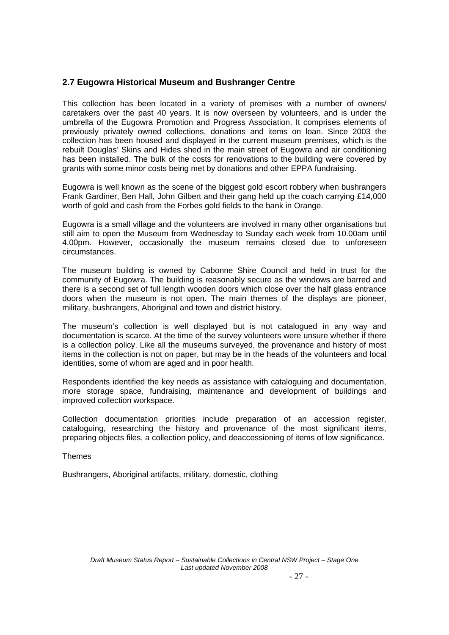## **2.7 Eugowra Historical Museum and Bushranger Centre**

This collection has been located in a variety of premises with a number of owners/ caretakers over the past 40 years. It is now overseen by volunteers, and is under the umbrella of the Eugowra Promotion and Progress Association. It comprises elements of previously privately owned collections, donations and items on loan. Since 2003 the collection has been housed and displayed in the current museum premises, which is the rebuilt Douglas' Skins and Hides shed in the main street of Eugowra and air conditioning has been installed. The bulk of the costs for renovations to the building were covered by grants with some minor costs being met by donations and other EPPA fundraising.

Eugowra is well known as the scene of the biggest gold escort robbery when bushrangers Frank Gardiner, Ben Hall, John Gilbert and their gang held up the coach carrying £14,000 worth of gold and cash from the Forbes gold fields to the bank in Orange.

Eugowra is a small village and the volunteers are involved in many other organisations but still aim to open the Museum from Wednesday to Sunday each week from 10.00am until 4.00pm. However, occasionally the museum remains closed due to unforeseen circumstances.

The museum building is owned by Cabonne Shire Council and held in trust for the community of Eugowra. The building is reasonably secure as the windows are barred and there is a second set of full length wooden doors which close over the half glass entrance doors when the museum is not open. The main themes of the displays are pioneer, military, bushrangers, Aboriginal and town and district history.

The museum's collection is well displayed but is not catalogued in any way and documentation is scarce. At the time of the survey volunteers were unsure whether if there is a collection policy. Like all the museums surveyed, the provenance and history of most items in the collection is not on paper, but may be in the heads of the volunteers and local identities, some of whom are aged and in poor health.

Respondents identified the key needs as assistance with cataloguing and documentation, more storage space, fundraising, maintenance and development of buildings and improved collection workspace.

Collection documentation priorities include preparation of an accession register, cataloguing, researching the history and provenance of the most significant items, preparing objects files, a collection policy, and deaccessioning of items of low significance.

Themes

Bushrangers, Aboriginal artifacts, military, domestic, clothing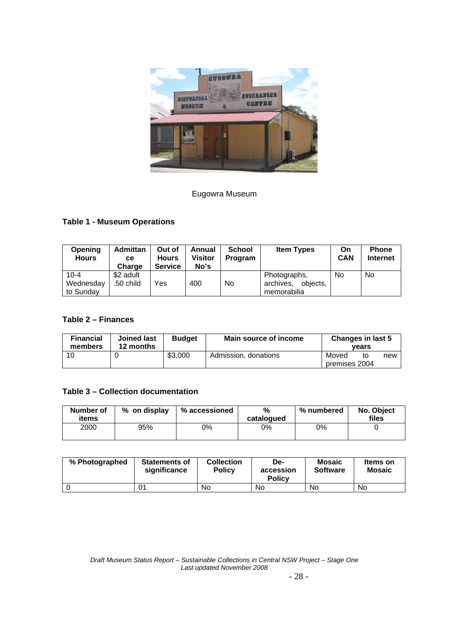

## Eugowra Museum

## **Table 1 - Museum Operations**

| Opening<br><b>Hours</b>            | <b>Admittan</b><br>cе<br>Charge | Out of<br><b>Hours</b><br><b>Service</b> | Annual<br>Visitor<br>No's | School<br>Program | <b>Item Types</b>                                    | On<br><b>CAN</b> | <b>Phone</b><br><b>Internet</b> |
|------------------------------------|---------------------------------|------------------------------------------|---------------------------|-------------------|------------------------------------------------------|------------------|---------------------------------|
| $10 - 4$<br>Wednesday<br>to Sundav | \$2 adult<br>.50 child          | Yes                                      | 400                       | N <sub>o</sub>    | Photographs,<br>archives.<br>objects.<br>memorabilia | No.              | No                              |

## **Table 2 – Finances**

| <b>Financial</b><br>members | <b>Joined last</b><br>12 months | <b>Budget</b> | Main source of income | Changes in last 5      | vears |     |
|-----------------------------|---------------------------------|---------------|-----------------------|------------------------|-------|-----|
| 10                          |                                 | \$3,000       | Admission, donations  | Moved<br>premises 2004 | to    | new |

### **Table 3 – Collection documentation**

| <b>Number of</b><br>items | % on display | % accessioned | %<br>catalogued | % numbered | No. Object<br>files |
|---------------------------|--------------|---------------|-----------------|------------|---------------------|
| 2000                      | 95%          | 0%            | 0%              | 0%         |                     |

| % Photographed | <b>Statements of</b><br>significance | <b>Collection</b><br><b>Policy</b> | De-<br>accession<br><b>Policy</b> | <b>Mosaic</b><br><b>Software</b> | Items on<br>Mosaic |
|----------------|--------------------------------------|------------------------------------|-----------------------------------|----------------------------------|--------------------|
|                |                                      | No                                 | No                                | No                               | No                 |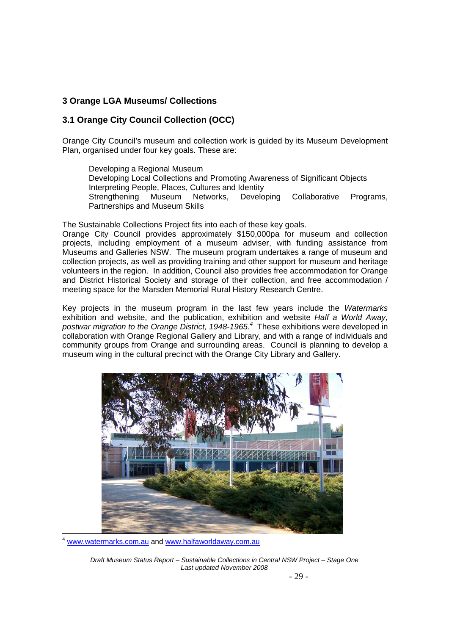## **3 Orange LGA Museums/ Collections**

## **3.1 Orange City Council Collection (OCC)**

Orange City Council's museum and collection work is guided by its Museum Development Plan, organised under four key goals. These are:

Developing a Regional Museum Developing Local Collections and Promoting Awareness of Significant Objects Interpreting People, Places, Cultures and Identity Strengthening Museum Networks, Developing Collaborative Programs, Partnerships and Museum Skills

The Sustainable Collections Project fits into each of these key goals.

Orange City Council provides approximately \$150,000pa for museum and collection projects, including employment of a museum adviser, with funding assistance from Museums and Galleries NSW. The museum program undertakes a range of museum and collection projects, as well as providing training and other support for museum and heritage volunteers in the region. In addition, Council also provides free accommodation for Orange and District Historical Society and storage of their collection, and free accommodation / meeting space for the Marsden Memorial Rural History Research Centre.

Key projects in the museum program in the last few years include the *Watermarks* exhibition and website, and the publication, exhibition and website *Half a World Away, postwar migration to the Orange District, 1948-1965.<sup>4</sup>* These exhibitions were developed in collaboration with Orange Regional Gallery and Library, and with a range of individuals and community groups from Orange and surrounding areas. Council is planning to develop a museum wing in the cultural precinct with the Orange City Library and Gallery.



www.watermarks.com.au and www.halfaworldaway.com.au

1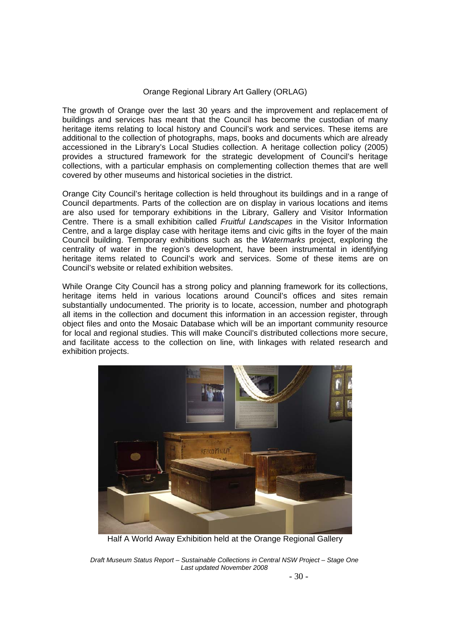#### Orange Regional Library Art Gallery (ORLAG)

The growth of Orange over the last 30 years and the improvement and replacement of buildings and services has meant that the Council has become the custodian of many heritage items relating to local history and Council's work and services. These items are additional to the collection of photographs, maps, books and documents which are already accessioned in the Library's Local Studies collection. A heritage collection policy (2005) provides a structured framework for the strategic development of Council's heritage collections, with a particular emphasis on complementing collection themes that are well covered by other museums and historical societies in the district.

Orange City Council's heritage collection is held throughout its buildings and in a range of Council departments. Parts of the collection are on display in various locations and items are also used for temporary exhibitions in the Library, Gallery and Visitor Information Centre. There is a small exhibition called *Fruitful Landscapes* in the Visitor Information Centre, and a large display case with heritage items and civic gifts in the foyer of the main Council building. Temporary exhibitions such as the *Watermarks* project, exploring the centrality of water in the region's development, have been instrumental in identifying heritage items related to Council's work and services. Some of these items are on Council's website or related exhibition websites.

While Orange City Council has a strong policy and planning framework for its collections, heritage items held in various locations around Council's offices and sites remain substantially undocumented. The priority is to locate, accession, number and photograph all items in the collection and document this information in an accession register, through object files and onto the Mosaic Database which will be an important community resource for local and regional studies. This will make Council's distributed collections more secure, and facilitate access to the collection on line, with linkages with related research and exhibition projects.



Half A World Away Exhibition held at the Orange Regional Gallery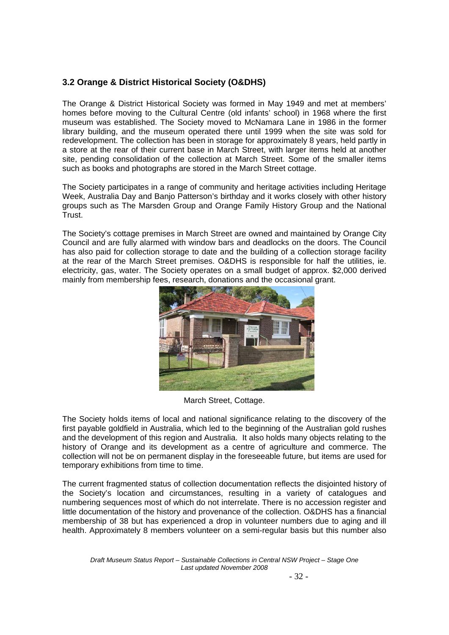## **3.2 Orange & District Historical Society (O&DHS)**

The Orange & District Historical Society was formed in May 1949 and met at members' homes before moving to the Cultural Centre (old infants' school) in 1968 where the first museum was established. The Society moved to McNamara Lane in 1986 in the former library building, and the museum operated there until 1999 when the site was sold for redevelopment. The collection has been in storage for approximately 8 years, held partly in a store at the rear of their current base in March Street, with larger items held at another site, pending consolidation of the collection at March Street. Some of the smaller items such as books and photographs are stored in the March Street cottage.

The Society participates in a range of community and heritage activities including Heritage Week, Australia Day and Banjo Patterson's birthday and it works closely with other history groups such as The Marsden Group and Orange Family History Group and the National Trust.

The Society's cottage premises in March Street are owned and maintained by Orange City Council and are fully alarmed with window bars and deadlocks on the doors. The Council has also paid for collection storage to date and the building of a collection storage facility at the rear of the March Street premises. O&DHS is responsible for half the utilities, ie. electricity, gas, water. The Society operates on a small budget of approx. \$2,000 derived mainly from membership fees, research, donations and the occasional grant.



March Street, Cottage.

The Society holds items of local and national significance relating to the discovery of the first payable goldfield in Australia, which led to the beginning of the Australian gold rushes and the development of this region and Australia. It also holds many objects relating to the history of Orange and its development as a centre of agriculture and commerce. The collection will not be on permanent display in the foreseeable future, but items are used for temporary exhibitions from time to time.

The current fragmented status of collection documentation reflects the disjointed history of the Society's location and circumstances, resulting in a variety of catalogues and numbering sequences most of which do not interrelate. There is no accession register and little documentation of the history and provenance of the collection. O&DHS has a financial membership of 38 but has experienced a drop in volunteer numbers due to aging and ill health. Approximately 8 members volunteer on a semi-regular basis but this number also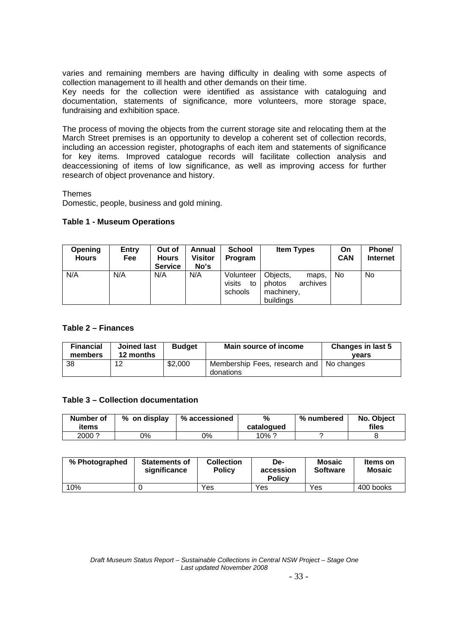varies and remaining members are having difficulty in dealing with some aspects of collection management to ill health and other demands on their time.

Key needs for the collection were identified as assistance with cataloguing and documentation, statements of significance, more volunteers, more storage space, fundraising and exhibition space.

The process of moving the objects from the current storage site and relocating them at the March Street premises is an opportunity to develop a coherent set of collection records, including an accession register, photographs of each item and statements of significance for key items. Improved catalogue records will facilitate collection analysis and deaccessioning of items of low significance, as well as improving access for further research of object provenance and history.

Themes

Domestic, people, business and gold mining.

#### **Table 1 - Museum Operations**

| <b>Opening</b><br><b>Hours</b> | <b>Entry</b><br>Fee | Out of<br><b>Hours</b><br><b>Service</b> | Annual<br>Visitor<br>No's | <b>School</b><br><b>Program</b>      | <b>Item Types</b>                                                  | On<br><b>CAN</b> | Phone/<br><b>Internet</b> |
|--------------------------------|---------------------|------------------------------------------|---------------------------|--------------------------------------|--------------------------------------------------------------------|------------------|---------------------------|
| N/A                            | N/A                 | N/A                                      | N/A                       | Volunteer<br>visits<br>to<br>schools | Objects.<br>maps,<br>archives<br>photos<br>machinery,<br>buildings | <b>No</b>        | No                        |

#### **Table 2 – Finances**

| <b>Financial</b><br>members | <b>Joined last</b><br>12 months | <b>Budget</b> | Main source of income                                   | Changes in last 5<br>vears |
|-----------------------------|---------------------------------|---------------|---------------------------------------------------------|----------------------------|
| -38                         | 12                              | \$2,000       | Membership Fees, research and   No changes<br>donations |                            |

#### **Table 3 – Collection documentation**

| Number of<br>items | % on display | % accessioned | %<br>catalogued | % numbered | No. Object<br>files |
|--------------------|--------------|---------------|-----------------|------------|---------------------|
| 2000?              | ገ%           | ን%            | 10% $^{\circ}$  |            |                     |

| % Photographed | <b>Statements of</b><br>significance | <b>Collection</b><br><b>Policy</b> | De-<br>accession<br><b>Policy</b> | <b>Mosaic</b><br><b>Software</b> | Items on<br>Mosaic |
|----------------|--------------------------------------|------------------------------------|-----------------------------------|----------------------------------|--------------------|
| 10%            |                                      | Yes                                | Yes                               | Yes                              | 400 books          |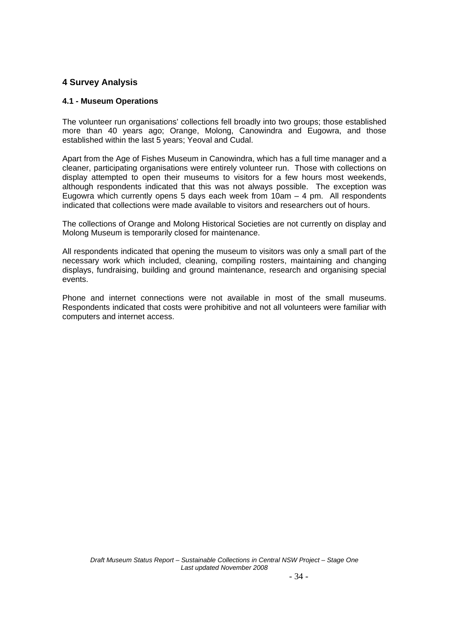## **4 Survey Analysis**

## **4.1 - Museum Operations**

The volunteer run organisations' collections fell broadly into two groups; those established more than 40 years ago; Orange, Molong, Canowindra and Eugowra, and those established within the last 5 years; Yeoval and Cudal.

Apart from the Age of Fishes Museum in Canowindra, which has a full time manager and a cleaner, participating organisations were entirely volunteer run. Those with collections on display attempted to open their museums to visitors for a few hours most weekends, although respondents indicated that this was not always possible. The exception was Eugowra which currently opens 5 days each week from  $10am - 4$  pm. All respondents indicated that collections were made available to visitors and researchers out of hours.

The collections of Orange and Molong Historical Societies are not currently on display and Molong Museum is temporarily closed for maintenance.

All respondents indicated that opening the museum to visitors was only a small part of the necessary work which included, cleaning, compiling rosters, maintaining and changing displays, fundraising, building and ground maintenance, research and organising special events.

Phone and internet connections were not available in most of the small museums. Respondents indicated that costs were prohibitive and not all volunteers were familiar with computers and internet access.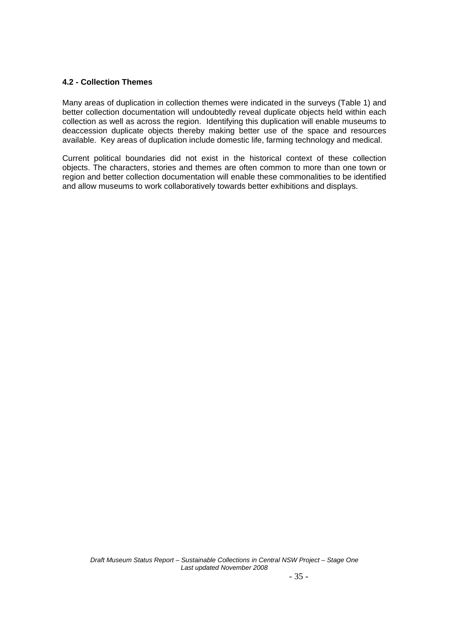## **4.2 - Collection Themes**

Many areas of duplication in collection themes were indicated in the surveys (Table 1) and better collection documentation will undoubtedly reveal duplicate objects held within each collection as well as across the region. Identifying this duplication will enable museums to deaccession duplicate objects thereby making better use of the space and resources available. Key areas of duplication include domestic life, farming technology and medical.

Current political boundaries did not exist in the historical context of these collection objects. The characters, stories and themes are often common to more than one town or region and better collection documentation will enable these commonalities to be identified and allow museums to work collaboratively towards better exhibitions and displays.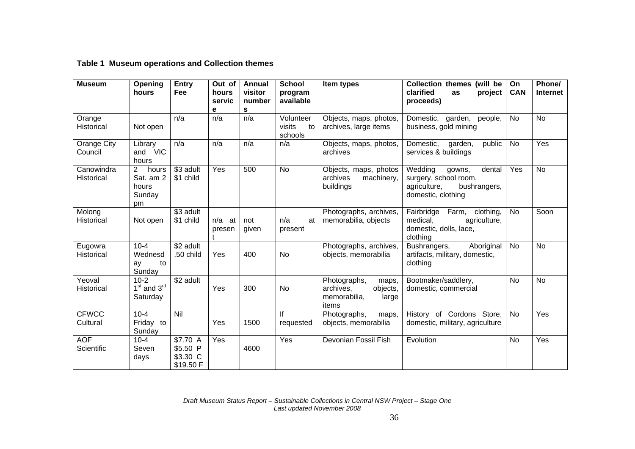## **Table 1 Museum operations and Collection themes**

| <b>Museum</b>               | Opening<br>hours                                              | <b>Entry</b><br>Fee                           | Out of<br>hours<br>servic<br>е | Annual<br>visitor<br>number<br>s | <b>School</b><br>program<br>available | Item types                                                                       | Collection themes (will be<br>clarified<br>project<br>as<br>proceeds)                                      | On<br><b>CAN</b> | Phone/<br><b>Internet</b> |
|-----------------------------|---------------------------------------------------------------|-----------------------------------------------|--------------------------------|----------------------------------|---------------------------------------|----------------------------------------------------------------------------------|------------------------------------------------------------------------------------------------------------|------------------|---------------------------|
| Orange<br><b>Historical</b> | Not open                                                      | n/a                                           | n/a                            | n/a                              | Volunteer<br>visits<br>to<br>schools  | Objects, maps, photos,<br>archives, large items                                  | Domestic, garden, people,<br>business, gold mining                                                         | <b>No</b>        | <b>No</b>                 |
| Orange City<br>Council      | Library<br>and VIC<br>hours                                   | n/a                                           | n/a                            | n/a                              | n/a                                   | Objects, maps, photos,<br>archives                                               | public<br>Domestic, garden,<br>services & buildings                                                        | <b>No</b>        | Yes                       |
| Canowindra<br>Historical    | 2 <sup>1</sup><br>hours<br>Sat. am 2<br>hours<br>Sunday<br>pm | \$3 adult<br>\$1 child                        | Yes                            | 500                              | <b>No</b>                             | Objects, maps, photos<br>archives<br>machinery,<br>buildings                     | Wedding<br>gowns,<br>dental<br>surgery, school room,<br>agriculture,<br>bushrangers,<br>domestic, clothing | Yes              | <b>No</b>                 |
| Molong<br><b>Historical</b> | Not open                                                      | \$3 adult<br>\$1 child                        | $n/a$ at<br>presen             | not<br>given                     | n/a<br>at<br>present                  | Photographs, archives,<br>memorabilia, objects                                   | Fairbridge<br>Farm,<br>clothing,<br>medical,<br>agriculture,<br>domestic, dolls, lace,<br>clothing         | <b>No</b>        | Soon                      |
| Eugowra<br>Historical       | $10 - 4$<br>Wednesd<br>to<br>ay<br>Sunday                     | \$2 adult<br>.50 child                        | Yes                            | 400                              | <b>No</b>                             | Photographs, archives,<br>objects, memorabilia                                   | Aboriginal<br>Bushrangers,<br>artifacts, military, domestic,<br>clothing                                   | <b>No</b>        | <b>No</b>                 |
| Yeoval<br>Historical        | $10-2$<br>$1st$ and $3rd$<br>Saturday                         | \$2 adult                                     | Yes                            | 300                              | No                                    | Photographs,<br>maps,<br>archives,<br>objects,<br>memorabilia,<br>large<br>items | Bootmaker/saddlery,<br>domestic, commercial                                                                | <b>No</b>        | <b>No</b>                 |
| <b>CFWCC</b><br>Cultural    | $10 - 4$<br>Friday to<br>Sunday                               | Nil                                           | Yes                            | 1500                             | lf<br>requested                       | Photographs,<br>maps,<br>objects, memorabilia                                    | History of Cordons Store,<br>domestic, military, agriculture                                               | <b>No</b>        | Yes                       |
| <b>AOF</b><br>Scientific    | $10 - 4$<br>Seven<br>days                                     | \$7.70 A<br>\$5.50 P<br>\$3.30 C<br>\$19.50 F | Yes                            | 4600                             | Yes                                   | Devonian Fossil Fish                                                             | Evolution                                                                                                  | <b>No</b>        | Yes                       |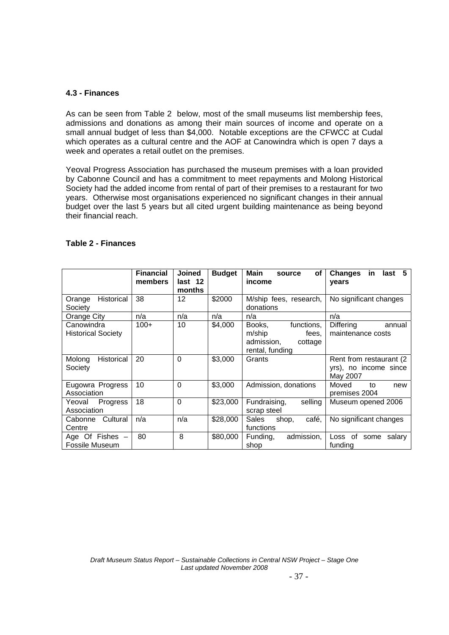#### **4.3 - Finances**

As can be seen from Table 2 below, most of the small museums list membership fees, admissions and donations as among their main sources of income and operate on a small annual budget of less than \$4,000. Notable exceptions are the CFWCC at Cudal which operates as a cultural centre and the AOF at Canowindra which is open 7 days a week and operates a retail outlet on the premises.

Yeoval Progress Association has purchased the museum premises with a loan provided by Cabonne Council and has a commitment to meet repayments and Molong Historical Society had the added income from rental of part of their premises to a restaurant for two years. Otherwise most organisations experienced no significant changes in their annual budget over the last 5 years but all cited urgent building maintenance as being beyond their financial reach.

|                                         | <b>Financial</b><br>members | <b>Joined</b><br>last 12<br>months | <b>Budget</b> | Main<br>οf<br>source<br>income                                                      | -5<br><b>Changes</b><br>last<br>in.<br>years                  |
|-----------------------------------------|-----------------------------|------------------------------------|---------------|-------------------------------------------------------------------------------------|---------------------------------------------------------------|
| Historical<br>Orange<br>Society         | 38                          | 12                                 | \$2000        | M/ship fees, research,<br>donations                                                 | No significant changes                                        |
| Orange City                             | n/a                         | n/a                                | n/a           | n/a                                                                                 | n/a                                                           |
| Canowindra<br><b>Historical Society</b> | $100+$                      | 10                                 | \$4,000       | functions,<br>Books,<br>m/ship<br>fees,<br>admission,<br>cottage<br>rental, funding | Differing<br>annual<br>maintenance costs                      |
| Historical<br>Molong<br>Society         | 20                          | $\mathbf{0}$                       | \$3,000       | Grants                                                                              | Rent from restaurant (2)<br>yrs), no income since<br>May 2007 |
| Eugowra Progress<br>Association         | 10                          | $\Omega$                           | \$3,000       | Admission, donations                                                                | Moved<br>to<br>new<br>premises 2004                           |
| Progress<br>Yeoval<br>Association       | 18                          | $\Omega$                           | \$23,000      | Fundraising,<br>selling<br>scrap steel                                              | Museum opened 2006                                            |
| Cultural<br>Cabonne<br>Centre           | n/a                         | n/a                                | \$28,000      | café.<br>Sales<br>shop,<br>functions                                                | No significant changes                                        |
| Age Of Fishes $-$<br>Fossile Museum     | 80                          | 8                                  | \$80,000      | admission,<br>Funding,<br>shop                                                      | Loss of<br>salary<br>some<br>funding                          |

## **Table 2 - Finances**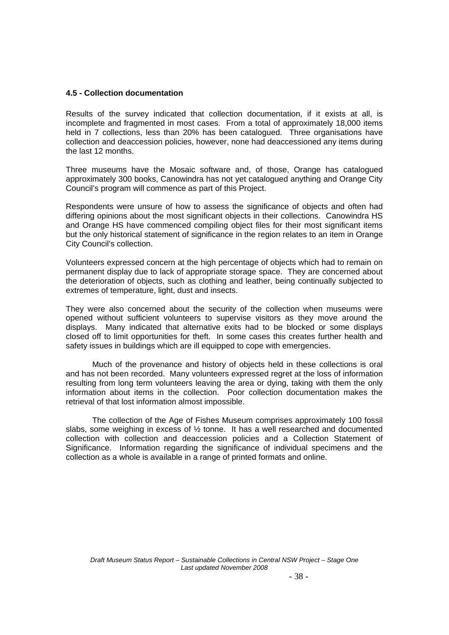#### **4.5 - Collection documentation**

Results of the survey indicated that collection documentation, if it exists at all, is incomplete and fragmented in most cases. From a total of approximately 18,000 items held in 7 collections, less than 20% has been catalogued. Three organisations have collection and deaccession policies, however, none had deaccessioned any items during the last 12 months.

Three museums have the Mosaic software and, of those, Orange has catalogued approximately 300 books, Canowindra has not yet catalogued anything and Orange City Council's program will commence as part of this Project.

Respondents were unsure of how to assess the significance of objects and often had differing opinions about the most significant objects in their collections. Canowindra HS and Orange HS have commenced compiling object files for their most significant items but the only historical statement of significance in the region relates to an item in Orange City Council's collection.

Volunteers expressed concern at the high percentage of objects which had to remain on permanent display due to lack of appropriate storage space. They are concerned about the deterioration of objects, such as clothing and leather, being continually subjected to extremes of temperature, light, dust and insects.

They were also concerned about the security of the collection when museums were opened without sufficient volunteers to supervise visitors as they move around the displays. Many indicated that alternative exits had to be blocked or some displays closed off to limit opportunities for theft. In some cases this creates further health and safety issues in buildings which are ill equipped to cope with emergencies.

 Much of the provenance and history of objects held in these collections is oral and has not been recorded. Many volunteers expressed regret at the loss of information resulting from long term volunteers leaving the area or dying, taking with them the only information about items in the collection. Poor collection documentation makes the retrieval of that lost information almost impossible.

 The collection of the Age of Fishes Museum comprises approximately 100 fossil slabs, some weighing in excess of  $\frac{1}{2}$  tonne. It has a well researched and documented collection with collection and deaccession policies and a Collection Statement of Significance. Information regarding the significance of individual specimens and the collection as a whole is available in a range of printed formats and online.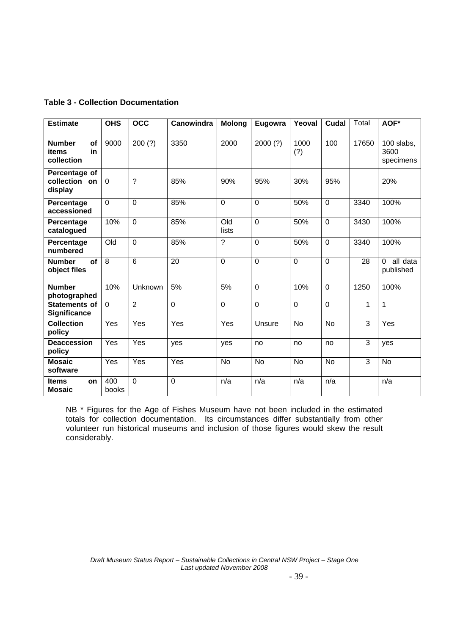## **Table 3 - Collection Documentation**

| <b>Estimate</b>                                  | <b>OHS</b>     | <b>OCC</b>     | Canowindra  | <b>Molong</b>            | Eugowra        | Yeoval         | Cudal       | Total | AOF*                              |
|--------------------------------------------------|----------------|----------------|-------------|--------------------------|----------------|----------------|-------------|-------|-----------------------------------|
|                                                  |                |                |             |                          |                |                |             |       |                                   |
| <b>Number</b><br>of<br>items<br>in<br>collection | 9000           | 200(?)         | 3350        | 2000                     | 2000(?)        | 1000<br>(?)    | 100         | 17650 | 100 slabs,<br>3600<br>specimens   |
| Percentage of<br>collection on<br>display        | $\Omega$       | ?              | 85%         | 90%                      | 95%            | 30%            | 95%         |       | 20%                               |
| Percentage<br>accessioned                        | $\Omega$       | $\mathbf 0$    | 85%         | $\Omega$                 | $\mathbf 0$    | 50%            | $\mathbf 0$ | 3340  | 100%                              |
| Percentage<br>catalogued                         | 10%            | $\overline{0}$ | 85%         | O <sub>Id</sub><br>lists | $\overline{0}$ | 50%            | $\mathbf 0$ | 3430  | 100%                              |
| Percentage<br>numbered                           | Old            | $\mathbf 0$    | 85%         | ?                        | $\mathbf 0$    | 50%            | $\mathbf 0$ | 3340  | 100%                              |
| <b>of</b><br><b>Number</b><br>object files       | $\overline{8}$ | $\overline{6}$ | 20          | $\overline{0}$           | $\overline{0}$ | $\overline{0}$ | $\mathbf 0$ | 28    | $\Omega$<br>all data<br>published |
| <b>Number</b><br>photographed                    | 10%            | Unknown        | 5%          | 5%                       | $\mathbf 0$    | 10%            | $\mathbf 0$ | 1250  | 100%                              |
| <b>Statements of</b><br><b>Significance</b>      | $\mathbf 0$    | $\overline{2}$ | $\mathbf 0$ | $\overline{0}$           | $\mathbf 0$    | $\mathbf 0$    | $\Omega$    | 1     | 1                                 |
| <b>Collection</b><br>policy                      | Yes            | Yes            | Yes         | Yes                      | Unsure         | <b>No</b>      | <b>No</b>   | 3     | Yes                               |
| <b>Deaccession</b><br>policy                     | Yes            | Yes            | yes         | yes                      | no             | no             | no          | 3     | ves                               |
| <b>Mosaic</b><br>software                        | Yes            | Yes            | Yes         | <b>No</b>                | <b>No</b>      | No             | No          | 3     | <b>No</b>                         |
| <b>Items</b><br>on<br><b>Mosaic</b>              | 400<br>books   | $\Omega$       | $\mathbf 0$ | n/a                      | n/a            | n/a            | n/a         |       | n/a                               |

NB \* Figures for the Age of Fishes Museum have not been included in the estimated totals for collection documentation. Its circumstances differ substantially from other volunteer run historical museums and inclusion of those figures would skew the result considerably.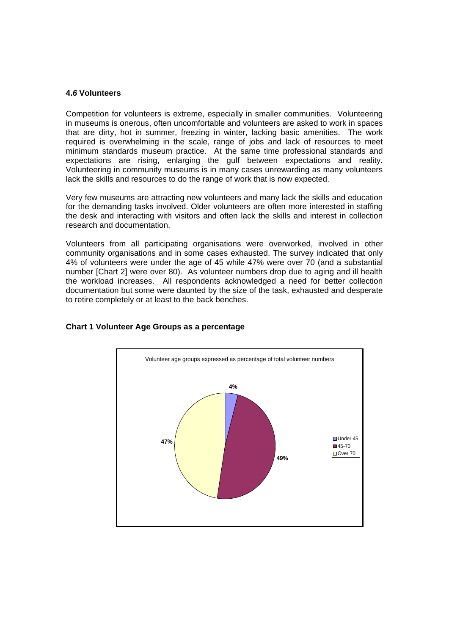#### **4.***6* **Volunteers**

Competition for volunteers is extreme, especially in smaller communities. Volunteering in museums is onerous, often uncomfortable and volunteers are asked to work in spaces that are dirty, hot in summer, freezing in winter, lacking basic amenities. The work required is overwhelming in the scale, range of jobs and lack of resources to meet minimum standards museum practice. At the same time professional standards and expectations are rising, enlarging the gulf between expectations and reality. Volunteering in community museums is in many cases unrewarding as many volunteers lack the skills and resources to do the range of work that is now expected.

Very few museums are attracting new volunteers and many lack the skills and education for the demanding tasks involved. Older volunteers are often more interested in staffing the desk and interacting with visitors and often lack the skills and interest in collection research and documentation.

Volunteers from all participating organisations were overworked, involved in other community organisations and in some cases exhausted. The survey indicated that only 4% of volunteers were under the age of 45 while 47% were over 70 (and a substantial number [Chart 2] were over 80). As volunteer numbers drop due to aging and ill health the workload increases. All respondents acknowledged a need for better collection documentation but some were daunted by the size of the task, exhausted and desperate to retire completely or at least to the back benches.



#### **Chart 1 Volunteer Age Groups as a percentage**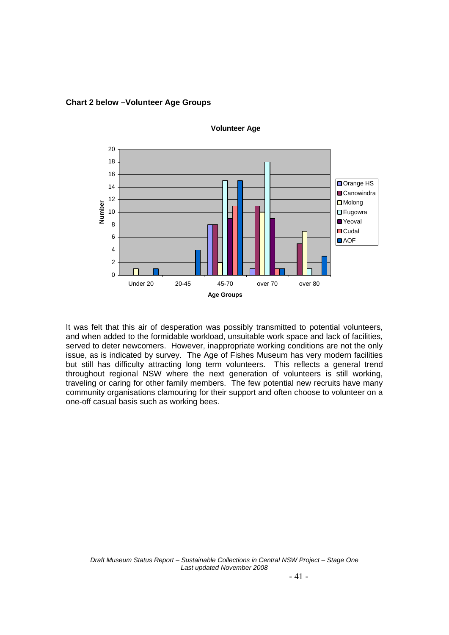

**Volunteer Age**

**Chart 2 below –Volunteer Age Groups** 

It was felt that this air of desperation was possibly transmitted to potential volunteers, and when added to the formidable workload, unsuitable work space and lack of facilities, served to deter newcomers. However, inappropriate working conditions are not the only issue, as is indicated by survey. The Age of Fishes Museum has very modern facilities but still has difficulty attracting long term volunteers. This reflects a general trend throughout regional NSW where the next generation of volunteers is still working, traveling or caring for other family members. The few potential new recruits have many community organisations clamouring for their support and often choose to volunteer on a one-off casual basis such as working bees.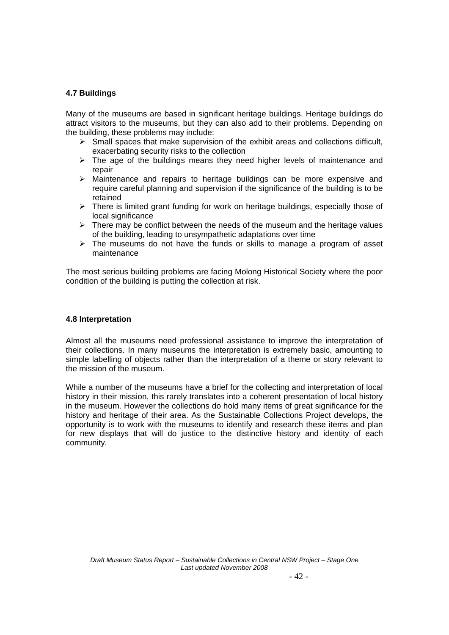## **4.7 Buildings**

Many of the museums are based in significant heritage buildings. Heritage buildings do attract visitors to the museums, but they can also add to their problems. Depending on the building, these problems may include:

- $\triangleright$  Small spaces that make supervision of the exhibit areas and collections difficult, exacerbating security risks to the collection
- $\triangleright$  The age of the buildings means they need higher levels of maintenance and repair
- $\triangleright$  Maintenance and repairs to heritage buildings can be more expensive and require careful planning and supervision if the significance of the building is to be retained
- $\triangleright$  There is limited grant funding for work on heritage buildings, especially those of local significance
- $\triangleright$  There may be conflict between the needs of the museum and the heritage values of the building, leading to unsympathetic adaptations over time
- $\triangleright$  The museums do not have the funds or skills to manage a program of asset maintenance

The most serious building problems are facing Molong Historical Society where the poor condition of the building is putting the collection at risk.

#### **4.8 Interpretation**

Almost all the museums need professional assistance to improve the interpretation of their collections. In many museums the interpretation is extremely basic, amounting to simple labelling of objects rather than the interpretation of a theme or story relevant to the mission of the museum.

While a number of the museums have a brief for the collecting and interpretation of local history in their mission, this rarely translates into a coherent presentation of local history in the museum. However the collections do hold many items of great significance for the history and heritage of their area. As the Sustainable Collections Project develops, the opportunity is to work with the museums to identify and research these items and plan for new displays that will do justice to the distinctive history and identity of each community.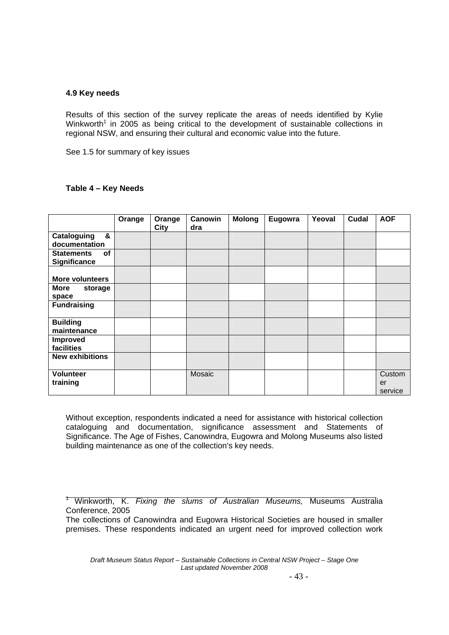### **4.9 Key needs**

Results of this section of the survey replicate the areas of needs identified by Kylie Winkworth<sup>1</sup> in 2005 as being critical to the development of sustainable collections in regional NSW, and ensuring their cultural and economic value into the future.

See 1.5 for summary of key issues

#### **Table 4 – Key Needs**

|                                                       | Orange | Orange<br><b>City</b> | Canowin<br>dra | <b>Molong</b> | Eugowra | Yeoval | Cudal | <b>AOF</b>              |
|-------------------------------------------------------|--------|-----------------------|----------------|---------------|---------|--------|-------|-------------------------|
| &<br>Cataloguing<br>documentation                     |        |                       |                |               |         |        |       |                         |
| <b>Statements</b><br><b>of</b><br><b>Significance</b> |        |                       |                |               |         |        |       |                         |
| <b>More volunteers</b>                                |        |                       |                |               |         |        |       |                         |
| <b>More</b><br>storage<br>space                       |        |                       |                |               |         |        |       |                         |
| <b>Fundraising</b>                                    |        |                       |                |               |         |        |       |                         |
| <b>Building</b><br>maintenance                        |        |                       |                |               |         |        |       |                         |
| Improved<br>facilities                                |        |                       |                |               |         |        |       |                         |
| <b>New exhibitions</b>                                |        |                       |                |               |         |        |       |                         |
| <b>Volunteer</b><br>training                          |        |                       | Mosaic         |               |         |        |       | Custom<br>er<br>service |

Without exception, respondents indicated a need for assistance with historical collection cataloguing and documentation, significance assessment and Statements of Significance. The Age of Fishes, Canowindra, Eugowra and Molong Museums also listed building maintenance as one of the collection's key needs.

1 Winkworth, K. *Fixing the slums of Australian Museums,* Museums Australia Conference, 2005

The collections of Canowindra and Eugowra Historical Societies are housed in smaller premises. These respondents indicated an urgent need for improved collection work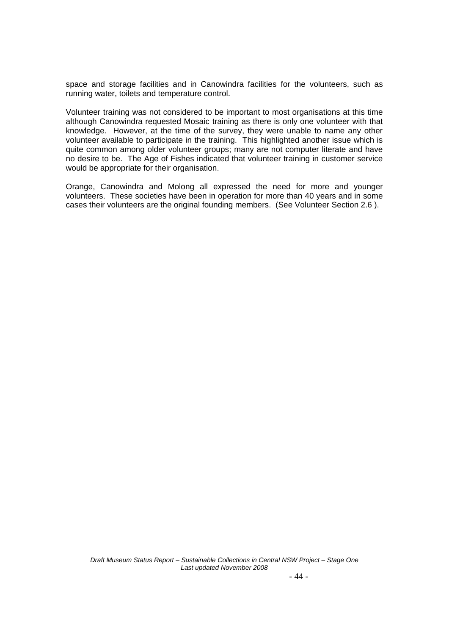space and storage facilities and in Canowindra facilities for the volunteers, such as running water, toilets and temperature control.

Volunteer training was not considered to be important to most organisations at this time although Canowindra requested Mosaic training as there is only one volunteer with that knowledge. However, at the time of the survey, they were unable to name any other volunteer available to participate in the training. This highlighted another issue which is quite common among older volunteer groups; many are not computer literate and have no desire to be. The Age of Fishes indicated that volunteer training in customer service would be appropriate for their organisation.

Orange, Canowindra and Molong all expressed the need for more and younger volunteers. These societies have been in operation for more than 40 years and in some cases their volunteers are the original founding members. (See Volunteer Section 2.6 ).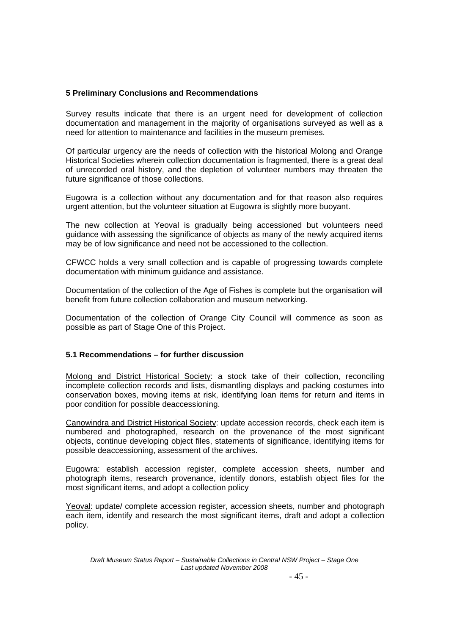## **5 Preliminary Conclusions and Recommendations**

Survey results indicate that there is an urgent need for development of collection documentation and management in the majority of organisations surveyed as well as a need for attention to maintenance and facilities in the museum premises.

Of particular urgency are the needs of collection with the historical Molong and Orange Historical Societies wherein collection documentation is fragmented, there is a great deal of unrecorded oral history, and the depletion of volunteer numbers may threaten the future significance of those collections.

Eugowra is a collection without any documentation and for that reason also requires urgent attention, but the volunteer situation at Eugowra is slightly more buoyant.

The new collection at Yeoval is gradually being accessioned but volunteers need guidance with assessing the significance of objects as many of the newly acquired items may be of low significance and need not be accessioned to the collection.

CFWCC holds a very small collection and is capable of progressing towards complete documentation with minimum guidance and assistance.

Documentation of the collection of the Age of Fishes is complete but the organisation will benefit from future collection collaboration and museum networking.

Documentation of the collection of Orange City Council will commence as soon as possible as part of Stage One of this Project.

## **5.1 Recommendations – for further discussion**

Molong and District Historical Society: a stock take of their collection, reconciling incomplete collection records and lists, dismantling displays and packing costumes into conservation boxes, moving items at risk, identifying loan items for return and items in poor condition for possible deaccessioning.

Canowindra and District Historical Society: update accession records, check each item is numbered and photographed, research on the provenance of the most significant objects, continue developing object files, statements of significance, identifying items for possible deaccessioning, assessment of the archives.

Eugowra: establish accession register, complete accession sheets, number and photograph items, research provenance, identify donors, establish object files for the most significant items, and adopt a collection policy

Yeoval: update/ complete accession register, accession sheets, number and photograph each item, identify and research the most significant items, draft and adopt a collection policy.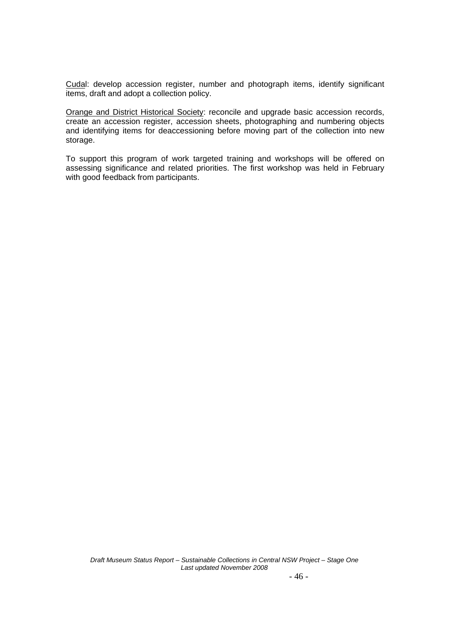Cudal: develop accession register, number and photograph items, identify significant items, draft and adopt a collection policy.

Orange and District Historical Society: reconcile and upgrade basic accession records, create an accession register, accession sheets, photographing and numbering objects and identifying items for deaccessioning before moving part of the collection into new storage.

To support this program of work targeted training and workshops will be offered on assessing significance and related priorities. The first workshop was held in February with good feedback from participants.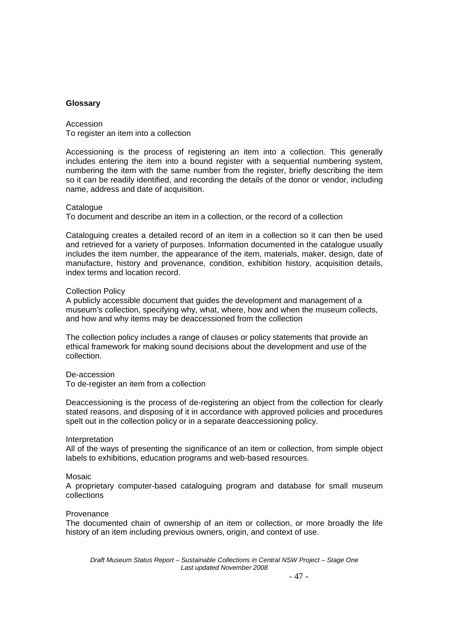#### **Glossary**

Accession To register an item into a collection

Accessioning is the process of registering an item into a collection. This generally includes entering the item into a bound register with a sequential numbering system, numbering the item with the same number from the register, briefly describing the item so it can be readily identified, and recording the details of the donor or vendor, including name, address and date of acquisition.

#### **Catalogue**

To document and describe an item in a collection, or the record of a collection

Cataloguing creates a detailed record of an item in a collection so it can then be used and retrieved for a variety of purposes. Information documented in the catalogue usually includes the item number, the appearance of the item, materials, maker, design, date of manufacture, history and provenance, condition, exhibition history, acquisition details, index terms and location record.

#### Collection Policy

A publicly accessible document that guides the development and management of a museum's collection, specifying why, what, where, how and when the museum collects, and how and why items may be deaccessioned from the collection

The collection policy includes a range of clauses or policy statements that provide an ethical framework for making sound decisions about the development and use of the collection.

De-accession

To de-register an item from a collection

Deaccessioning is the process of de-registering an object from the collection for clearly stated reasons, and disposing of it in accordance with approved policies and procedures spelt out in the collection policy or in a separate deaccessioning policy.

#### Interpretation

All of the ways of presenting the significance of an item or collection, from simple object labels to exhibitions, education programs and web-based resources.

#### Mosaic

A proprietary computer-based cataloguing program and database for small museum collections

#### Provenance

The documented chain of ownership of an item or collection, or more broadly the life history of an item including previous owners, origin, and context of use.